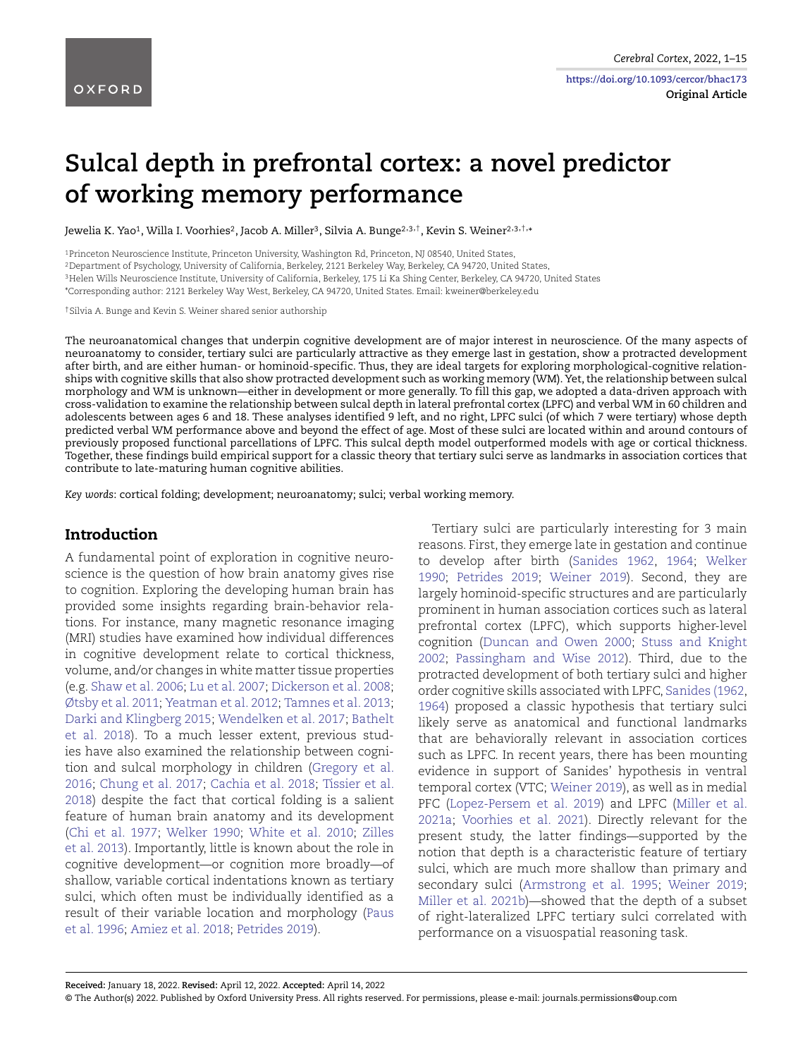**Original Article**

# **Sulcal depth in prefrontal cortex: a novel predictor of working memory performance**

Jewelia K. Yao<sup>1</sup>, Willa I. Voorhies<sup>2</sup>, Jacob A. Miller<sup>3</sup>, Silvia A. Bunge<sup>2,3,†</sup>, Kevin S. Weiner<sup>2,3,†,</sup>\*

1Princeton Neuroscience Institute, Princeton University, Washington Rd, Princeton, NJ 08540, United States, 2Department of Psychology, University of California, Berkeley, 2121 Berkeley Way, Berkeley, CA 94720, United States, 3Helen Wills Neuroscience Institute, University of California, Berkeley, 175 Li Ka Shing Center, Berkeley, CA 94720, United States \*Corresponding author: 2121 Berkeley Way West, Berkeley, CA 94720, United States. Email: kweiner@berkeley.edu

†Silvia A. Bunge and Kevin S. Weiner shared senior authorship

The neuroanatomical changes that underpin cognitive development are of major interest in neuroscience. Of the many aspects of neuroanatomy to consider, tertiary sulci are particularly attractive as they emerge last in gestation, show a protracted development after birth, and are either human- or hominoid-specific. Thus, they are ideal targets for exploring morphological-cognitive relationships with cognitive skills that also show protracted development such as working memory (WM). Yet, the relationship between sulcal morphology and WM is unknown—either in development or more generally. To fill this gap, we adopted a data-driven approach with cross-validation to examine the relationship between sulcal depth in lateral prefrontal cortex (LPFC) and verbal WM in 60 children and adolescents between ages 6 and 18. These analyses identified 9 left, and no right, LPFC sulci (of which 7 were tertiary) whose depth predicted verbal WM performance above and beyond the effect of age. Most of these sulci are located within and around contours of previously proposed functional parcellations of LPFC. This sulcal depth model outperformed models with age or cortical thickness. Together, these findings build empirical support for a classic theory that tertiary sulci serve as landmarks in association cortices that contribute to late-maturing human cognitive abilities.

*Key words*: cortical folding; development; neuroanatomy; sulci; verbal working memory.

#### **Introduction**

A fundamental point of exploration in cognitive neuroscience is the question of how brain anatomy gives rise to cognition. Exploring the developing human brain has provided some insights regarding brain-behavior relations. For instance, many magnetic resonance imaging (MRI) studies have examined how individual differences in cognitive development relate to cortical thickness, volume, and/or changes in white matter tissue properties (e.g. [Shaw et al. 2006;](#page-13-0) [Lu et al. 2007;](#page-13-1) [Dickerson et al. 2008;](#page-12-0) [Øtsby et al. 2011;](#page-13-2) [Yeatman et al. 2012;](#page-14-0) [Tamnes et al. 2013;](#page-14-1) [Darki and Klingberg 2015;](#page-12-1) [Wendelken et al. 2017;](#page-14-2) [Bathelt](#page-11-0) et al. 2018). To a much lesser extent, previous studies have also examined the relationship between cognition and sulcal morphology in children ([Gregory et al.](#page-12-2) 2016; [Chung et al. 2017](#page-12-3); [Cachia et al. 2018](#page-12-4); [Tissier et al.](#page-14-3) 2018) despite the fact that cortical folding is a salient feature of human brain anatomy and its development [\(Chi et al. 1977](#page-12-5); [Welker 1990](#page-14-4); [White et al. 2010](#page-14-5); [Zilles](#page-14-6) et al. 2013). Importantly, little is known about the role in cognitive development—or cognition more broadly—of shallow, variable cortical indentations known as tertiary sulci, which often must be individually identified as a result of their variable location and morphology [\(Paus](#page-13-3) et al. 1996; [Amiez et al. 2018](#page-11-1); [Petrides 2019](#page-13-4)).

Tertiary sulci are particularly interesting for 3 main reasons. First, they emerge late in gestation and continue to develop after birth ([Sanides 1962](#page-13-5), [1964](#page-13-6); [Welker](#page-14-4) 1990; [Petrides 2019](#page-13-4); [Weiner 2019](#page-14-7)). Second, they are largely hominoid-specific structures and are particularly prominent in human association cortices such as lateral prefrontal cortex (LPFC), which supports higher-level cognition [\(Duncan and Owen 200](#page-12-6)0; [Stuss and Knight](#page-14-8) 2002; [Passingham and Wise 201](#page-13-7)2). Third, due to the protracted development of both tertiary sulci and higher order cognitive skills associated with LPFC, [Sanides \(1962,](#page-13-5) [1964](#page-13-6)) proposed a classic hypothesis that tertiary sulci likely serve as anatomical and functional landmarks that are behaviorally relevant in association cortices such as LPFC. In recent years, there has been mounting evidence in support of Sanides' hypothesis in ventral temporal cortex (VTC; [Weiner 2019\)](#page-14-7), as well as in medial PFC ([Lopez-Persem et al. 201](#page-12-7)9) and LPFC [\(Miller et al.](#page-13-8) 2021a; [Voorhies et al. 202](#page-14-9)1). Directly relevant for the present study, the latter findings—supported by the notion that depth is a characteristic feature of tertiary sulci, which are much more shallow than primary and secondary sulci ([Armstrong et al. 199](#page-11-2)5; [Weiner 2019](#page-14-7); [Miller et al. 2021b](#page-13-9))—showed that the depth of a subset of right-lateralized LPFC tertiary sulci correlated with performance on a visuospatial reasoning task.

<sup>©</sup> The Author(s) 2022. Published by Oxford University Press. All rights reserved. For permissions, please e-mail: journals.permissions@oup.com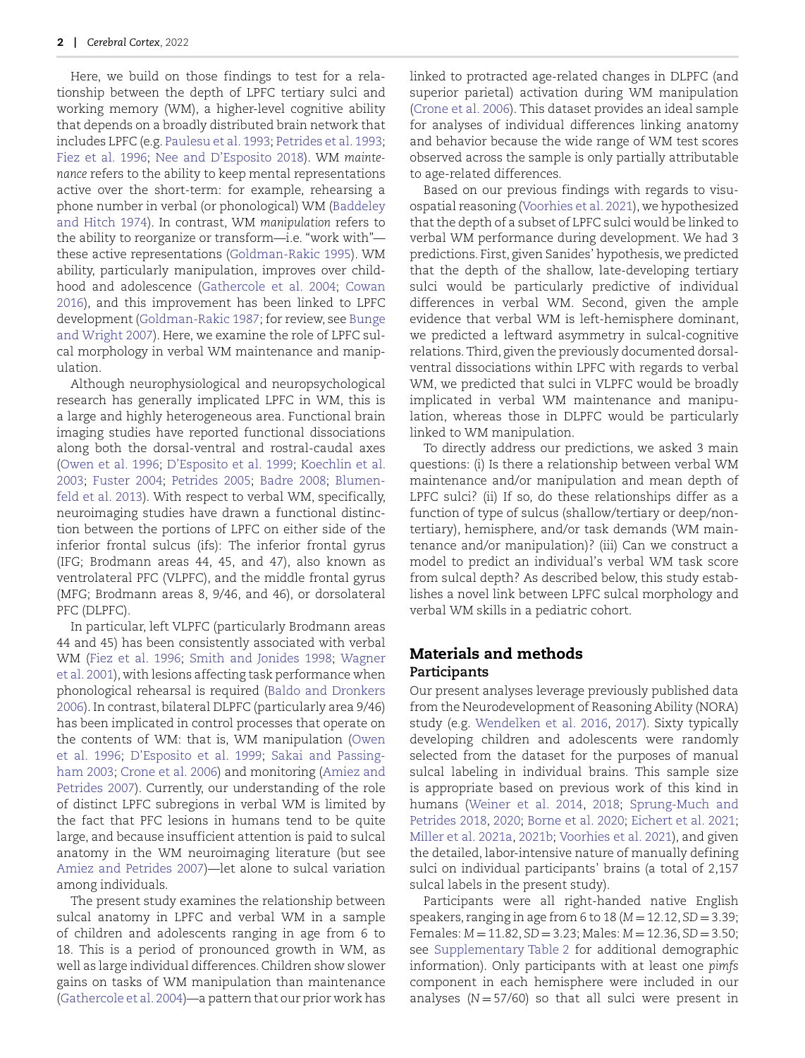Here, we build on those findings to test for a relationship between the depth of LPFC tertiary sulci and working memory (WM), a higher-level cognitive ability that depends on a broadly distributed brain network that includes LPFC (e.g. [Paulesu et al. 1993;](#page-13-10) [Petrides et al. 1993;](#page-13-11) [Fiez et al. 1996](#page-12-8); [Nee and D'Esposito 2018](#page-13-12)). WM *maintenance* refers to the ability to keep mental representations active over the short-term: for example, rehearsing a phone number in verbal (or phonological) WM (Baddeley and Hitch 1974). In contrast, WM *manipulation* refers to the ability to reorganize or transform—i.e. "work with" these active representations [\(Goldman-Rakic 1995](#page-12-9)). WM ability, particularly manipulation, improves over childhood and adolescence [\(Gathercole et al. 200](#page-12-10)4; [Cowan](#page-12-11) 2016), and this improvement has been linked to LPFC development [\(Goldman-Rakic 1987;](#page-12-12) for review, see Bunge and Wright 2007). Here, we examine the role of LPFC sulcal morphology in verbal WM maintenance and manipulation.

Although neurophysiological and neuropsychological research has generally implicated LPFC in WM, this is a large and highly heterogeneous area. Functional brain imaging studies have reported functional dissociations along both the dorsal-ventral and rostral-caudal axes ([Owen et al. 1996](#page-13-13); [D'Esposito et al. 1999](#page-12-13); [Koechlin et al.](#page-12-14) 2003; [Fuster 2004](#page-12-15); [Petrides 2005](#page-13-14); [Badre 2008](#page-11-5); Blumenfeld et al. 2013). With respect to verbal WM, specifically, neuroimaging studies have drawn a functional distinction between the portions of LPFC on either side of the inferior frontal sulcus (ifs): The inferior frontal gyrus (IFG; Brodmann areas 44, 45, and 47), also known as ventrolateral PFC (VLPFC), and the middle frontal gyrus (MFG; Brodmann areas 8, 9/46, and 46), or dorsolateral PFC (DLPFC).

In particular, left VLPFC (particularly Brodmann areas 44 and 45) has been consistently associated with verbal WM [\(Fiez et al. 1996](#page-12-8); [Smith and Jonides 1998](#page-13-15); [Wagner](#page-14-10) et al. 2001), with lesions affecting task performance when phonological rehearsal is required [\(Baldo and Dronkers](#page-11-7) 2006). In contrast, bilateral DLPFC (particularly area 9/46) has been implicated in control processes that operate on the contents of WM: that is, WM manipulation (Owen et al. 1996; [D'Esposito et al. 199](#page-12-13)9; [Sakai and Passing](#page-13-16)ham 2003; [Crone et al. 2006\)](#page-12-16) and monitoring ([Amiez and](#page-11-8) Petrides 2007). Currently, our understanding of the role of distinct LPFC subregions in verbal WM is limited by the fact that PFC lesions in humans tend to be quite large, and because insufficient attention is paid to sulcal anatomy in the WM neuroimaging literature (but see [Amiez and Petrides 2007](#page-11-8))—let alone to sulcal variation among individuals.

The present study examines the relationship between sulcal anatomy in LPFC and verbal WM in a sample of children and adolescents ranging in age from 6 to 18. This is a period of pronounced growth in WM, as well as large individual differences. Children show slower gains on tasks of WM manipulation than maintenance ([Gathercole et al. 2004\)](#page-12-10)—a pattern that our prior work has

linked to protracted age-related changes in DLPFC (and superior parietal) activation during WM manipulation [\(Crone et al. 2006\)](#page-12-16). This dataset provides an ideal sample for analyses of individual differences linking anatomy and behavior because the wide range of WM test scores observed across the sample is only partially attributable to age-related differences.

Based on our previous findings with regards to visu[ospatial rea](#page-11-3)soning ([Voorhies et al. 2021\)](#page-14-9), we hypothesized that the depth of a subset of LPFC sulci would be linked to verbal WM performance during development. We had 3 predictions. First, given Sanides' hypothesis, we predicted that the depth of the shallow, late-developing tertiary sulci would be particularly predictive of individual differences in verbal WM. Second, given the ample [evidence tha](#page-11-4)t verbal WM is left-hemisphere dominant, we predicted a leftward asymmetry in sulcal-cognitive relations. Third, given the previously documented dorsalventral dissociations within LPFC with regards to verbal WM, we predicted that sulci in VLPFC would be broadly implicated in verbal WM maintenance and manipulation, whereas those in DLPFC would be particularly linked to WM manipulation.

To directly address our predictions, we asked 3 main questions: (i) Is there a relationship between verbal WM [maintena](#page-11-6)nce and/or manipulation and mean depth of LPFC sulci? (ii) If so, do these relationships differ as a function of type of sulcus (shallow/tertiary or deep/nontertiary), hemisphere, and/or task demands (WM maintenance and/or manipulation)? (iii) Can we construct a model to predict an individual's verbal WM task score from sulcal depth? As described below, this study establishes a novel link between LPFC sulcal morphology and verbal WM skills in a pediatric cohort.

## **Materials and methods Participants**

Our present analyses leverage previously published data from the Neurodevelopment of Reasoning Ability (NORA) study (e.g. [Wendelken et al. 2016](#page-14-11), [2017\)](#page-14-2). Sixty typically [develo](#page-13-13)ping children and adolescents were randomly selected from the dataset for the purposes of manual sulcal labeling in individual brains. This sample size is appropriate based on previous work of this kind in humans ([Weiner et al. 201](#page-14-12)4, [2018;](#page-14-13) [Sprung-Much and](#page-13-17) Petrides 2018, [2020](#page-13-18); [Borne et al. 2020](#page-11-9); [Eichert et al. 2021](#page-12-17); [Miller et al. 2021a,](#page-13-8) [2021b](#page-13-9); [Voorhies et al. 2021\)](#page-14-9), and given the detailed, labor-intensive nature of manually defining sulci on individual participants' brains (a total of 2,157 sulcal labels in the present study).

Participants were all right-handed native English speakers, ranging in age from 6 to 18 (*M* = 12.12, *SD* = 3.39; Females: *M* = 11.82, *SD* = 3.23; Males: *M* = 12.36, *SD* = 3.50; see Supplementary Table 2 for additional demographic information). Only participants with at least one *pimfs* component in each hemisphere were included in our analyses (*N* = 57/60) so that all sulci were present in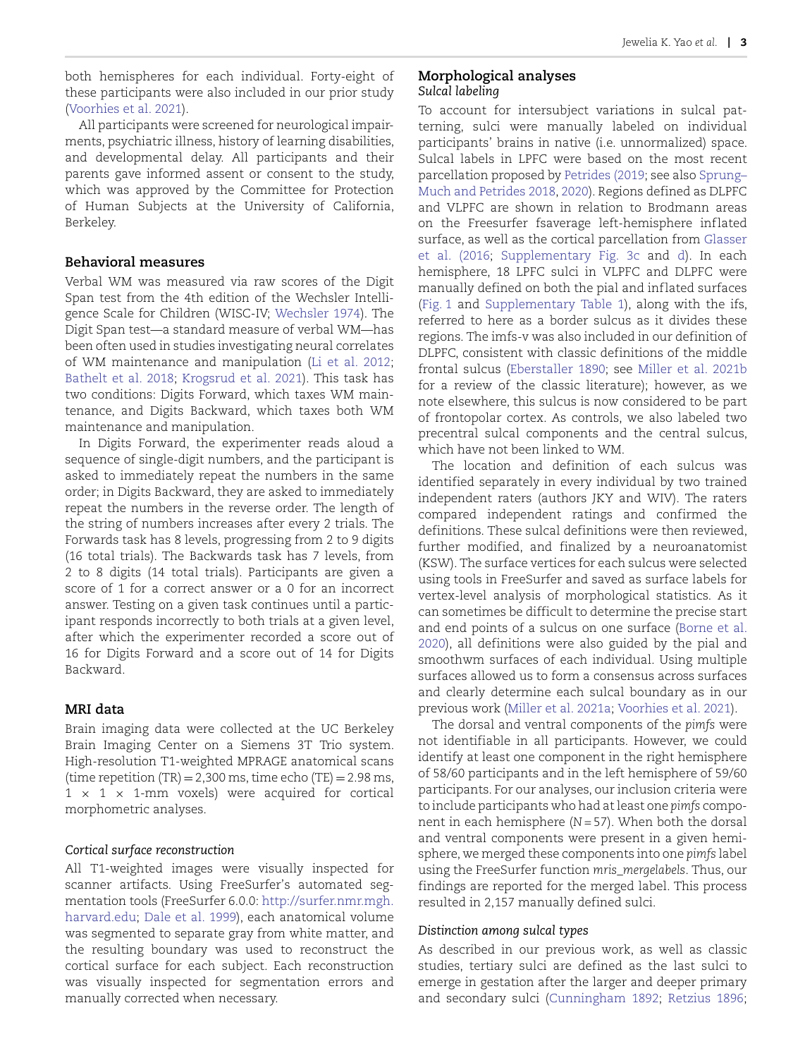both hemispheres for each individual. Forty-eight of these participants were also included in our prior study [\(Voorhies et al. 2021\)](#page-14-9).

All participants were screened for neurological impairments, psychiatric illness, history of learning disabilities, and developmental delay. All participants and their parents gave informed assent or consent to the study, which was approved by the Committee for Protection of Human Subjects at the University of California, Berkeley.

#### **Behavioral measures**

Verbal WM was measured via raw scores of the Digit Span test from the 4th edition of the Wechsler Intelligence Scale for Children (WISC-IV; [Wechsler 1974](#page-14-14)). The Digit Span test—a standard measure of verbal WM—has been often used in studies investigating neural correlates of WM maintenance and manipulation [\(Li et al. 2012](#page-12-18); [Bathelt et al. 2018](#page-11-0); [Krogsrud et al. 2021](#page-12-19)). This task has two conditions: Digits Forward, which taxes WM maintenance, and Digits Backward, which taxes both WM maintenance and manipulation.

In Digits Forward, the experimenter reads aloud a sequence of single-digit numbers, and the participant is asked to immediately repeat the numbers in the same order; in Digits Backward, they are asked to immediately repeat the numbers in the reverse order. The length of the string of numbers increases after every 2 trials. The Forwards task has 8 levels, progressing from 2 to 9 digits (16 total trials). The Backwards task has 7 levels, from 2 to 8 digits (14 total trials). Participants are given a score of 1 for a correct answer or a 0 for an incorrect answer. Testing on a given task continues until a participant responds incorrectly to both trials at a given level, after which the experimenter recorded a score out of 16 for Digits Forward and a score out of 14 for Digits Backward.

#### **MRI data**

Brain imaging data were collected at the UC Berkeley Brain Imaging Center on a Siemens 3T Trio system. High-resolution T1-weighted MPRAGE anatomical scans (time repetition  $(TR) = 2,300$  ms, time echo  $(TE) = 2.98$  ms,  $1 \times 1 \times 1$ -mm voxels) were acquired for cortical morphometric analyses.

#### *Cortical surface reconstruction*

All T1-weighted images were visually inspected for scanner artifacts. Using FreeSurfer's automated segmentation tools (FreeSurfer 6.0.0: [http://surfer.nmr.mgh.](http://surfer.nmr.mgh.harvard.edu) [harvard.edu;](http://surfer.nmr.mgh.harvard.edu) [Dale et al. 1999](#page-12-20)), each anatomical volume was segmented to separate gray from white matter, and the resulting boundary was used to reconstruct the cortical surface for each subject. Each reconstruction was visually inspected for segmentation errors and manually corrected when necessary.

#### **Morphological analyses** *Sulcal labeling*

To account for intersubject variations in sulcal patterning, sulci were manually labeled on individual participants' brains in native (i.e. unnormalized) space. Sulcal labels in LPFC were based on the most recent parcellation proposed by [Petrides \(2019;](#page-13-4) see also [Sprung–](#page-13-17) Much and Petrides 2018, [2020](#page-13-18)). Regions defined as DLPFC and VLPFC are shown in relation to Brodmann areas on the Freesurfer fsaverage left-hemisphere inflated surface, as well as the cortical parcellation from [Glasser](#page-12-21) et al. (2016; [Supplementary Fig. 3c](https://academic.oup.com/cercor/article-lookup/doi/10.1093/cercor/bhac173#supplementary-data) and [d\)](https://academic.oup.com/cercor/article-lookup/doi/10.1093/cercor/bhac173#supplementary-data). In each hemisphere, 18 LPFC sulci in VLPFC and DLPFC were manually defined on both the pial and inf lated surfaces [\(Fig. 1](#page-3-0) and [Supplementary Table 1\)](https://academic.oup.com/cercor/article-lookup/doi/10.1093/cercor/bhac173#supplementary-data), along with the ifs, referred to here as a border sulcus as it divides these regions. The imfs-v was also included in our definition of DLPFC, consistent with classic definitions of the middle frontal sulcus [\(Eberstaller 1890](#page-12-22); see [Miller et al. 2021b](#page-13-9) for a review of the classic literature); however, as we note elsewhere, this sulcus is now considered to be part of frontopolar cortex. As controls, we also labeled two precentral sulcal components and the central sulcus, which have not been linked to WM.

The location and definition of each sulcus was identified separately in every individual by two trained independent raters (authors JKY and WIV). The raters compared independent ratings and confirmed the definitions. These sulcal definitions were then reviewed, further modified, and finalized by a neuroanatomist (KSW). The surface vertices for each sulcus were selected using tools in FreeSurfer and saved as surface labels for vertex-level analysis of morphological statistics. As it can sometimes be difficult to determine the precise start and end points of a sulcus on one surface [\(Borne et al.](#page-11-9) 2020), all definitions were also guided by the pial and smoothwm surfaces of each individual. Using multiple surfaces allowed us to form a consensus across surfaces and clearly determine each sulcal boundary as in our previous work ([Miller et al. 2021a](#page-13-8); [Voorhies et al. 2021\)](#page-14-9).

The dorsal and ventral components of the *pimfs* were not identifiable in all participants. However, we could identify at least one component in the right hemisphere of 58/60 participants and in the left hemisphere of 59/60 participants. For our analyses, our inclusion criteria were to include participants who had at least one *pimfs* component in each hemisphere (*N* = 57). When both the dorsal and ventral components were present in a given hemisphere, we merged these components into one *pimfs* label using the FreeSurfer function *mris\_mergelabels*. Thus, our findings are reported for the merged label. This process resulted in 2,157 manually defined sulci.

#### *Distinction among sulcal types*

As described in our previous work, as well as classic studies, tertiary sulci are defined as the last sulci to emerge in gestation after the larger and deeper primary and secondary sulci [\(Cunningham 1892](#page-12-23); [Retzius 1896](#page-13-19);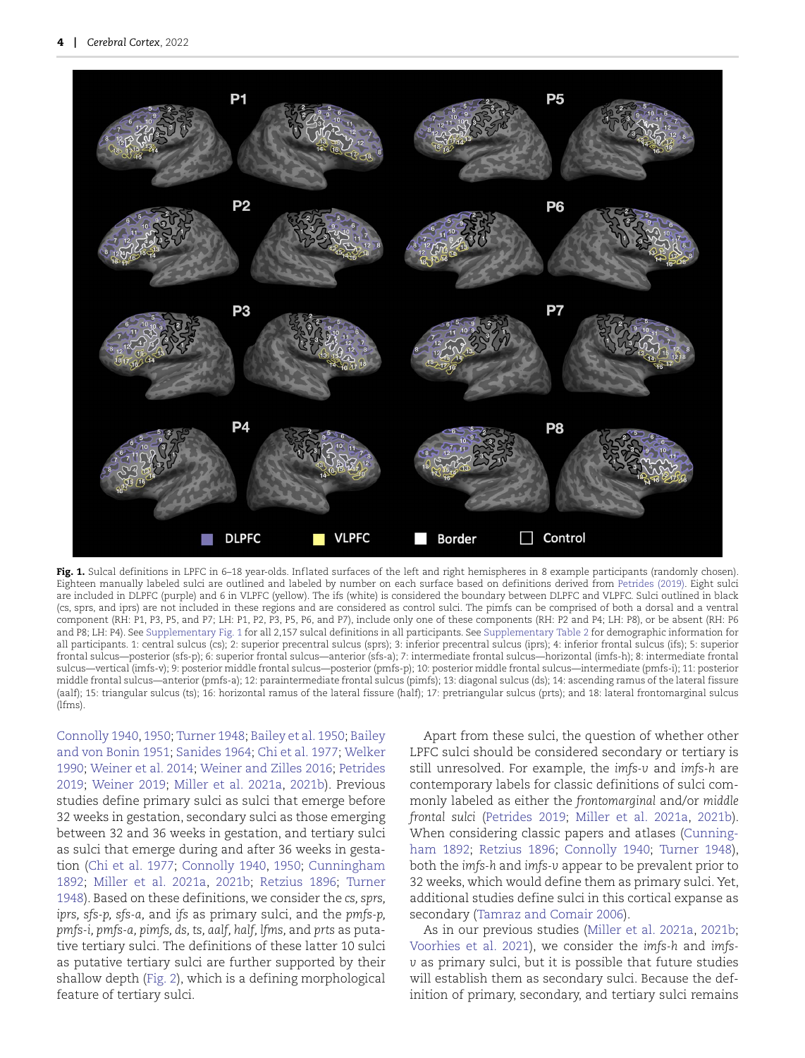

<span id="page-3-0"></span>Fig. 1. Sulcal definitions in LPFC in 6–18 year-olds. Inflated surfaces of the left and right hemispheres in 8 example participants (randomly chosen). Eighteen manually labeled sulci are outlined and labeled by number on each surface based on definitions derived from [Petrides \(2019\)](#page-13-4). Eight sulci are included in DLPFC (purple) and 6 in VLPFC (yellow). The ifs (white) is considered the boundary between DLPFC and VLPFC. Sulci outlined in black (cs, sprs, and iprs) are not included in these regions and are considered as control sulci. The pimfs can be comprised of both a dorsal and a ventral component (RH: P1, P3, P5, and P7; LH: P1, P2, P3, P5, P6, and P7), include only one of these components (RH: P2 and P4; LH: P8), or be absent (RH: P6 and P8; LH: P4). See Supplementary Fig. 1 for all 2,157 sulcal definitions in all participants. See Supplementary Table 2 for demographic information for all participants. 1: central sulcus (cs); 2: superior precentral sulcus (sprs); 3: inferior precentral sulcus (iprs); 4: inferior frontal sulcus (ifs); 5: superior frontal sulcus—posterior (sfs-p); 6: superior frontal sulcus—anterior (sfs-a); 7: intermediate frontal sulcus—horizontal (imfs-h); 8: intermediate frontal sulcus—vertical (imfs-v); 9: posterior middle frontal sulcus—posterior (pmfs-p); 10: posterior middle frontal sulcus—intermediate (pmfs-i); 11: posterior middle frontal sulcus—anterior (pmfs-a); 12: paraintermediate frontal sulcus (pimfs); 13: diagonal sulcus (ds); 14: ascending ramus of the lateral fissure (aalf); 15: triangular sulcus (ts); 16: horizontal ramus of the lateral fissure (half); 17: pretriangular sulcus (prts); and 18: lateral frontomarginal sulcus (lfms).

[Connolly 1940,](#page-12-24) [1950](#page-12-25); [Turner 1948;](#page-14-15) [Bailey et al. 1950;](#page-11-10) Bailey and von Bonin 1951; [Sanides 1964](#page-13-6); [Chi et al. 1977;](#page-12-5) [Welker](#page-14-4) 1990; [Weiner et al. 2014;](#page-14-12) [Weiner and Zilles 2016](#page-14-16); [Petrides](#page-13-4) 2019; [Weiner 2019](#page-14-7); [Miller et al. 2021a](#page-13-8), [2021b](#page-13-9)). Previous studies define primary sulci as sulci that emerge before 32 weeks in gestation, secondary sulci as those emerging between 32 and 36 weeks in gestation, and tertiary sulci as sulci that emerge during and after 36 weeks in gestation [\(Chi et al. 1977](#page-12-5); [Connolly 1940](#page-12-24), [1950;](#page-12-25) [Cunningham](#page-12-23) 1892; [Miller et al. 2021](#page-13-8)a, [2021b](#page-13-9); [Retzius 1896](#page-13-19); [Turner](#page-14-15) 1948). Based on these definitions, we consider the *cs, sprs, iprs, sfs-p, sfs-a,* and *ifs* as primary sulci, and the *pmfs-p, pmfs-i, pmfs-a, pimfs, ds, ts, aalf, half, lfms,* and *prts* as putative tertiary sulci. The definitions of these latter 10 sulci as putative tertiary sulci are further supported by their shallow depth [\(Fig. 2\)](#page-4-0), which is a defining morphological feature of tertiary sulci.

[Apart from th](#page-11-11)ese sulci, the question of whether other LPFC sulci should be considered secondary or tertiary is still unresolved. For example, the *imfs-v* and *imfs-h* are contemporary labels for classic definitions of sulci commonly labeled as either the *frontomarginal* and/or *middle frontal sulci* [\(Petrides 2019](#page-13-4); [Miller et al. 2021](#page-13-8)a, [2021b\)](#page-13-9). When considering classic papers and atlases [\(Cunning](#page-12-23)ham 1892; [Retzius 1896](#page-13-19); [Connolly 1940](#page-12-24); [Turner 1948](#page-14-15)), both the *imfs-h* and *imfs-v* appear to be prevalent prior to 32 weeks, which would define them as primary sulci. Yet, additional studies define sulci in this cortical expanse as secondary ([Tamraz and Comair 2006](#page-14-17)).

As in our previous studies ([Miller et al. 2021a](#page-13-8), [2021b](#page-13-9); [Voorhies et al. 2021](#page-14-9)), we consider the *imfs-h* and *imfsv* as primary sulci, but it is possible that future studies will establish them as secondary sulci. Because the definition of primary, secondary, and tertiary sulci remains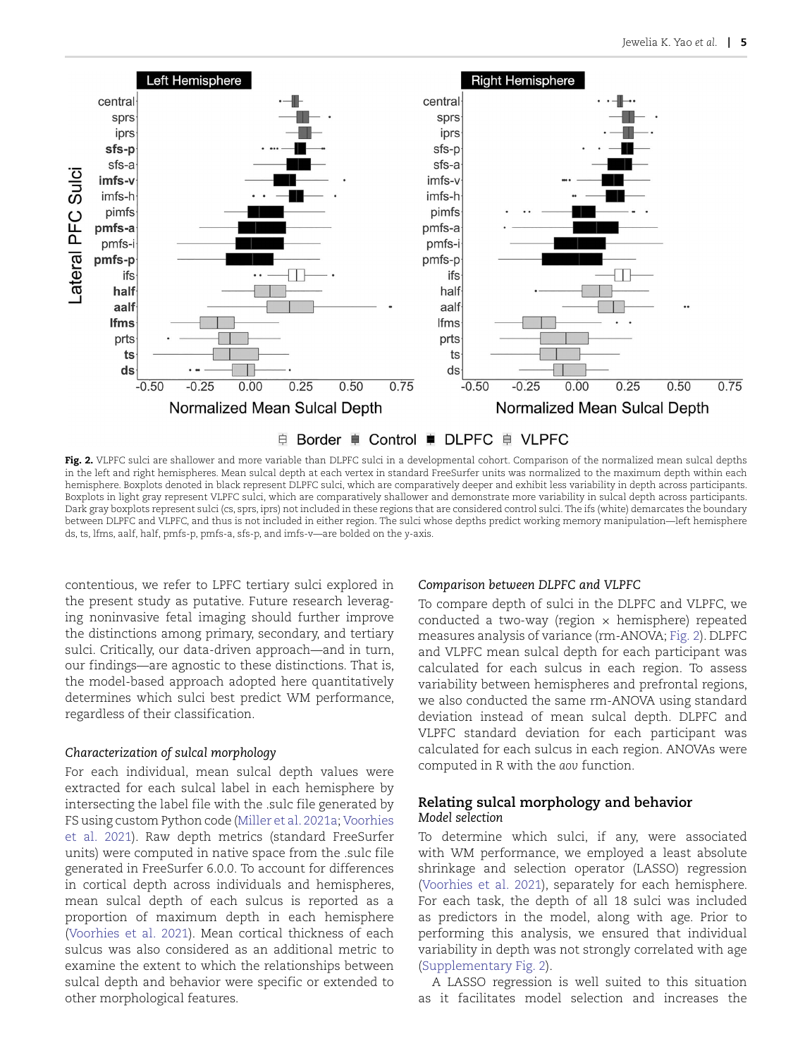

<span id="page-4-0"></span>**Fig. 2.** VLPFC sulci are shallower and more variable than DLPFC sulci in a developmental cohort. Comparison of the normalized mean sulcal depths in the left and right hemispheres. Mean sulcal depth at each vertex in standard FreeSurfer units was normalized to the maximum depth within each hemisphere. Boxplots denoted in black represent DLPFC sulci, which are comparatively deeper and exhibit less variability in depth across participants. Boxplots in light gray represent VLPFC sulci, which are comparatively shallower and demonstrate more variability in sulcal depth across participants. Dark gray boxplots represent sulci (cs, sprs, iprs) not included in these regions that are considered control sulci. The ifs (white) demarcates the boundary between DLPFC and VLPFC, and thus is not included in either region. The sulci whose depths predict working memory manipulation—left hemisphere ds, ts, lfms, aalf, half, pmfs-p, pmfs-a, sfs-p, and imfs-v—are bolded on the *y*-axis.

contentious, we refer to LPFC tertiary sulci explored in the present study as putative. Future research leveraging noninvasive fetal imaging should further improve the distinctions among primary, secondary, and tertiary sulci. Critically, our data-driven approach—and in turn, our findings—are agnostic to these distinctions. That is, the model-based approach adopted here quantitatively determines which sulci best predict WM performance, regardless of their classification.

#### *Characterization of sulcal morphology*

For each individual, mean sulcal depth values were extracted for each sulcal label in each hemisphere by intersecting the label file with the .sulc file generated by FS using custom Python code ([Miller et al. 2021a;](#page-13-8) [Voorhies](#page-14-9) et al. 2021). Raw depth metrics (standard FreeSurfer units) were computed in native space from the .sulc file generated in FreeSurfer 6.0.0. To account for differences in cortical depth across individuals and hemispheres, mean sulcal depth of each sulcus is reported as a proportion of maximum depth in each hemisphere [\(Voorhies et al. 2021](#page-14-9)). Mean cortical thickness of each sulcus was also considered as an additional metric to examine the extent to which the relationships between sulcal depth and behavior were specific or extended to other morphological features.

#### *Comparison between DLPFC and VLPFC*

To compare depth of sulci in the DLPFC and VLPFC, we conducted a two-way (region  $\times$  hemisphere) repeated measures analysis of variance (rm-ANOVA; [Fig. 2\)](#page-4-0). DLPFC and VLPFC mean sulcal depth for each participant was calculated for each sulcus in each region. To assess variability between hemispheres and prefrontal regions, we also conducted the same rm-ANOVA using standard deviation instead of mean sulcal depth. DLPFC and VLPFC standard deviation for each participant was calculated for each sulcus in each region. ANOVAs were computed in R with the *aov* function.

### **Relating sulcal morphology and behavior** *Model selection*

To determine which sulci, if any, were associated with WM performance, we employed a least absolute shrinkage and selection operator (LASSO) regression [\(Voorhies et al. 2021](#page-14-9)), separately for each hemisphere. For each task, the depth of all 18 sulci was included as predictors in the model, along with age. Prior to performing this analysis, we ensured that individual variability in depth was not strongly correlated with age (Supplementary Fig. 2).

A LASSO regression is well suited to this situation as it facilitates model selection and increases the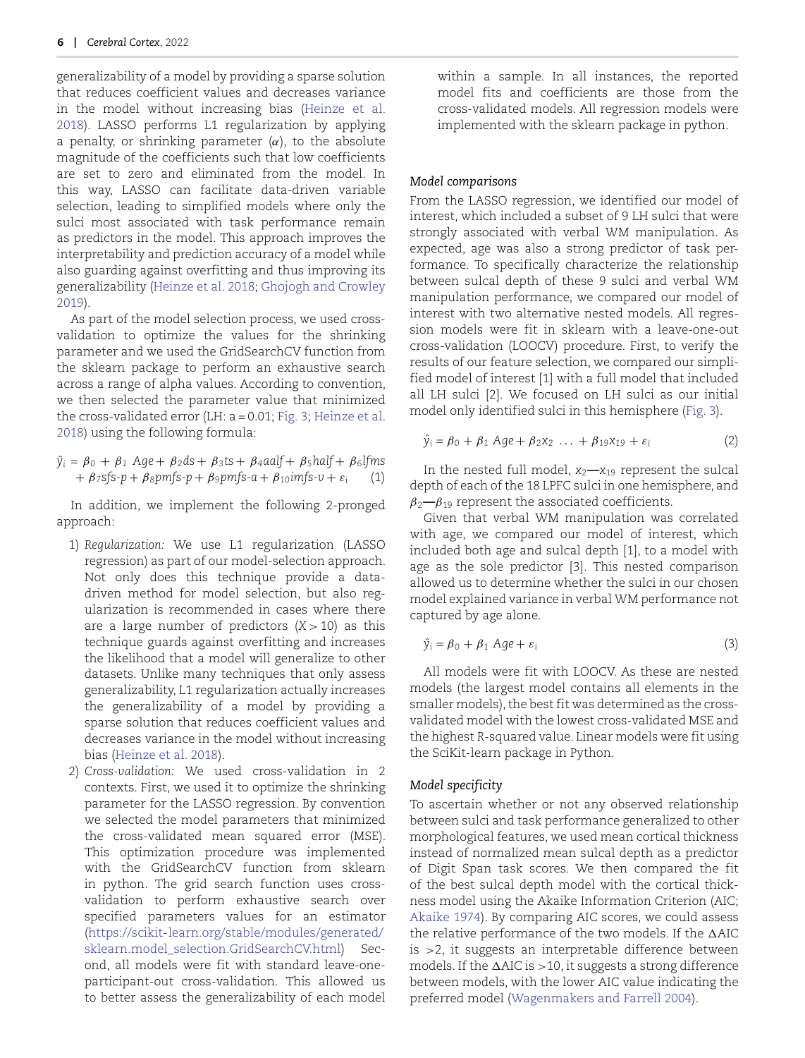generalizability of a model by providing a sparse solution that reduces coefficient values and decreases variance in the model without increasing bias [\(Heinze et al.](#page-12-26) 2018). LASSO performs L1 regularization by applying a penalty, or shrinking parameter (*α*), to the absolute magnitude of the coefficients such that low coefficients are set to zero and eliminated from the model. In this way, LASSO can facilitate data-driven variable selection, leading to simplified models where only the sulci most associated with task performance remain as predictors in the model. This approach improves the interpretability and prediction accuracy of a model while also guarding against overfitting and thus improving its generalizability ([Heinze et al. 2018;](#page-12-26) [Ghojogh and Crowley](#page-12-27) 2019).

As part of the model selection process, we used crossvalidation to optimize the values for the shrinking parameter and we used the GridSearchCV function from the sklearn package to perform an exhaustive search across a range of alpha values. According to convention, we then selected the parameter value that minimized the cross-validated error (LH: a = 0.01; [Fig. 3;](#page-6-0) [Heinze et al.](#page-12-26) 2018) using the following formula:

$$
\hat{y}_i = \beta_0 + \beta_1 \text{ Age} + \beta_2 \text{ds} + \beta_3 \text{ts} + \beta_4 \text{aalf} + \beta_5 \text{half} + \beta_6 \text{lfms} \n+ \beta_7 \text{sfs-p} + \beta_8 \text{pmfs-p} + \beta_9 \text{pmfs-a} + \beta_1 \text{oimgs-v} + \varepsilon_i \tag{1}
$$

In addition, we implement the following 2-pronged approach:

- 1) *Regularization:* We use L1 regularization (LASSO regression) as part of our model-selection approach. Not only does this technique provide a datadriven method for model selection, but also regularization is recommended in cases where there are a large number of predictors (*X >* 10) as this technique guards against overfitting and increases the likelihood that a model will generalize to other datasets. Unlike many techniques that only assess generalizability, L1 regularization actually increases the generalizability of a model by providing a sparse solution that reduces coefficient values and decreases variance in the model without increasing bias [\(Heinze et al. 2018](#page-12-26)).
- 2) *Cross-validation:* We used cross-validation in 2 contexts. First, we used it to optimize the shrinking parameter for the LASSO regression. By convention we selected the model parameters that minimized the cross-validated mean squared error (MSE). This optimization procedure was implemented with the GridSearchCV function from sklearn in python. The grid search function uses crossvalidation to perform exhaustive search over specified parameters values for an estimator [\(https://scikit-learn.org/stable/modules/generated/](https://scikit-learn.org/stable/modules/generated/sklearn.model_selection.GridSearchCV.html) [sklearn.model\\_selection.GridSearchCV.html\)](https://scikit-learn.org/stable/modules/generated/sklearn.model_selection.GridSearchCV.html) Second, all models were fit with standard leave-oneparticipant-out cross-validation. This allowed us to better assess the generalizability of each model

within a sample. In all instances, the reported model fits and coefficients are those from the cross-validated models. All regression models were implemented with the sklearn package in python.

#### *Model comparisons*

From the LASSO regression, we identified our model of interest, which included a subset of 9 LH sulci that were strongly associated with verbal WM manipulation. As expected, age was also a strong predictor of task performance. To specifically characterize the relationship between sulcal depth of these 9 sulci and verbal WM manipulation performance, we compared our model of interest with two alternative nested models. All regression models were fit in sklearn with a leave-one-out cross-validation (LOOCV) procedure. First, to verify the results of our feature selection, we compared our simplified model of interest [1] with a full model that included all LH sulci [2]. We focused on LH sulci as our initial model only identified sulci in this hemisphere ([Fig. 3\)](#page-6-0).

$$
\hat{y}_i = \beta_0 + \beta_1 \text{ Age} + \beta_2 x_2 \dots + \beta_{19} x_{19} + \varepsilon_i \tag{2}
$$

In the nested full model,  $x_2 - x_{19}$  represent the sulcal depth of each of the 18 LPFC sulci in one hemisphere, and *β*2**—***β*<sup>19</sup> represent the associated coefficients.

Given that verbal WM manipulation was correlated with age, we compared our model of interest, which included both age and sulcal depth [1], to a model with age as the sole predictor [3]. This nested comparison allowed us to determine whether the sulci in our chosen model explained variance in verbal WM performance not captured by age alone.

$$
\hat{y}_i = \beta_0 + \beta_1 \text{ Age} + \varepsilon_i \tag{3}
$$

All models were fit with LOOCV. As these are nested models (the largest model contains all elements in the smaller models), the best fit was determined as the crossvalidated model with the lowest cross-validated MSE and the highest *R*-squared value. Linear models were fit using the SciKit-learn package in Python.

#### *Model specificity*

To ascertain whether or not any observed relationship between sulci and task performance generalized to other morphological features, we used mean cortical thickness instead of normalized mean sulcal depth as a predictor of Digit Span task scores. We then compared the fit of the best sulcal depth model with the cortical thickness model using the Akaike Information Criterion (AIC; [Akaike 1974](#page-11-12)). By comparing AIC scores, we could assess the relative performance of the two models. If the  $\triangle$ AIC is *>*2, it suggests an interpretable difference between models. If the AIC is *>*10, it suggests a strong difference between models, with the lower AIC value indicating the preferred model [\(Wagenmakers and Farrell 2004\)](#page-14-18).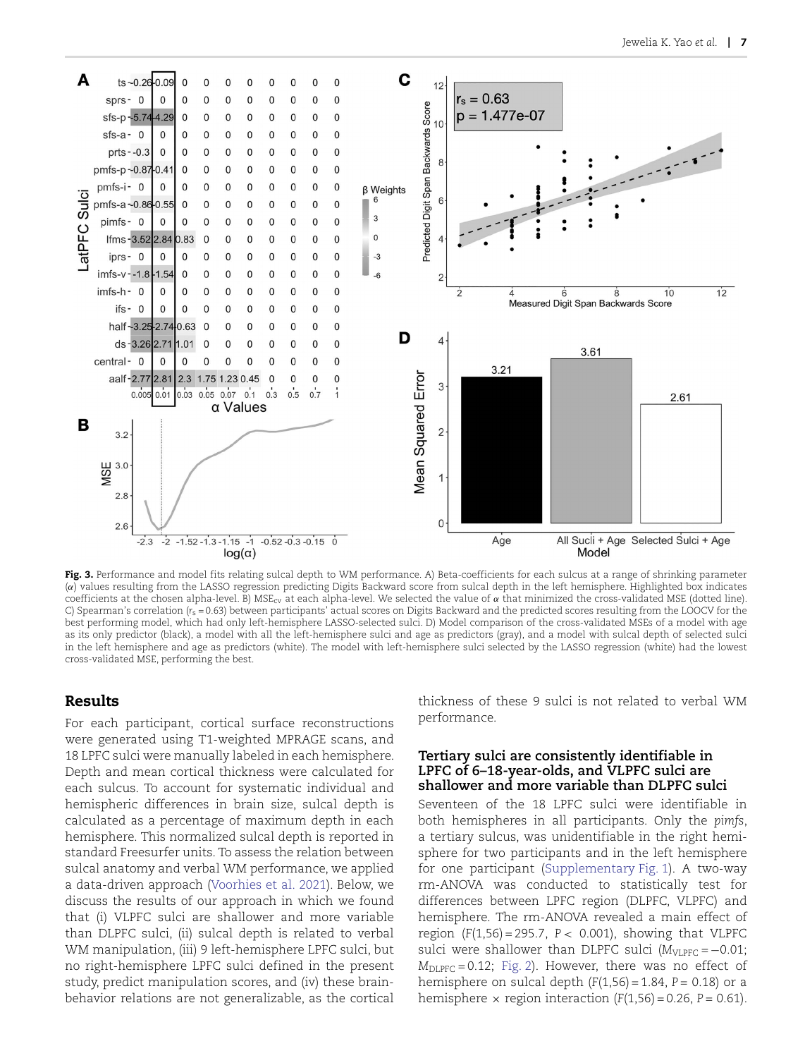

<span id="page-6-0"></span>Fig. 3. Performance and model fits relating sulcal depth to WM performance. A) Beta-coefficients for each sulcus at a range of shrinking parameter (*α*) values resulting from the LASSO regression predicting Digits Backward score from sulcal depth in the left hemisphere. Highlighted box indicates coefficients at the chosen alpha-level. B) MSEcv at each alpha-level. We selected the value of *α* that minimized the cross-validated MSE (dotted line). C) Spearman's correlation ( $r_s$  = 0.63) between participants' actual scores on Digits Backward and the predicted scores resulting from the LOOCV for the best performing model, which had only left-hemisphere LASSO-selected sulci. D) Model comparison of the cross-validated MSEs of a model with age as its only predictor (black), a model with all the left-hemisphere sulci and age as predictors (gray), and a model with sulcal depth of selected sulci in the left hemisphere and age as predictors (white). The model with left-hemisphere sulci selected by the LASSO regression (white) had the lowest cross-validated MSE, performing the best.

## **Results**

For each participant, cortical surface reconstructions were generated using T1-weighted MPRAGE scans, and 18 LPFC sulci were manually labeled in each hemisphere. Depth and mean cortical thickness were calculated for each sulcus. To account for systematic individual and hemispheric differences in brain size, sulcal depth is calculated as a percentage of maximum depth in each hemisphere. This normalized sulcal depth is reported in standard Freesurfer units. To assess the relation between sulcal anatomy and verbal WM performance, we applied a data-driven approach [\(Voorhies et al. 2021](#page-14-9)). Below, we discuss the results of our approach in which we found that (i) VLPFC sulci are shallower and more variable than DLPFC sulci, (ii) sulcal depth is related to verbal WM manipulation, (iii) 9 left-hemisphere LPFC sulci, but no right-hemisphere LPFC sulci defined in the present study, predict manipulation scores, and (iv) these brainbehavior relations are not generalizable, as the cortical

thickness of these 9 sulci is not related to verbal WM performance.

#### **Tertiary sulci are consistently identifiable in LPFC of 6–18-year-olds, and VLPFC sulci are shallower and more variable than DLPFC sulci**

Seventeen of the 18 LPFC sulci were identifiable in both hemispheres in all participants. Only the *pimfs*, a tertiary sulcus, was unidentifiable in the right hemisphere for two participants and in the left hemisphere for one participant (Supplementary Fig. 1). A two-way rm-ANOVA was conducted to statistically test for differences between LPFC region (DLPFC, VLPFC) and hemisphere. The rm-ANOVA revealed a main effect of region (*F*(1,56) = 295.7, *P <* 0.001), showing that VLPFC sulci were shallower than DLPFC sulci ( $M<sub>VLPFC</sub> = -0.01$ ; *M*DLPFC = 0.12; [Fig. 2](#page-4-0)). However, there was no effect of hemisphere on sulcal depth (*F*(1,56) = 1.84, *P =* 0.18) or a hemisphere  $\times$  region interaction  $(F(1,56) = 0.26, P = 0.61)$ .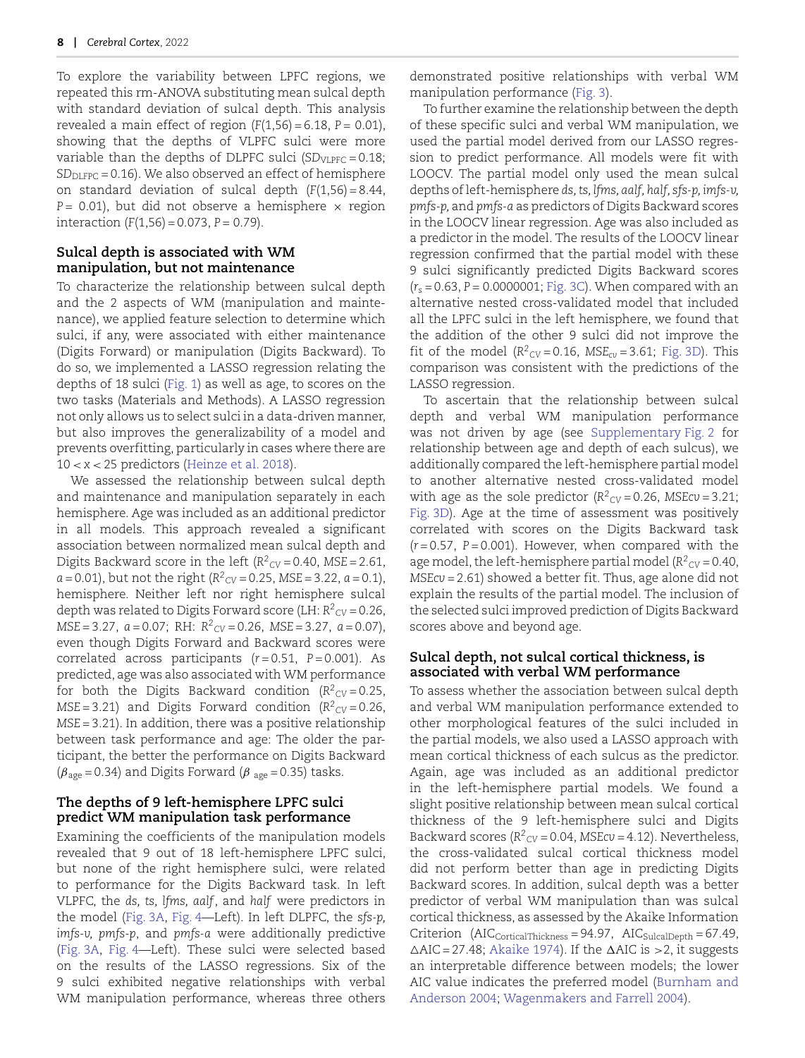To explore the variability between LPFC regions, we repeated this rm-ANOVA substituting mean sulcal depth with standard deviation of sulcal depth. This analysis revealed a main effect of region (*F*(1,56) = 6.18, *P =* 0.01), showing that the depths of VLPFC sulci were more variable than the depths of DLPFC sulci  $(SD<sub>VI,PFC</sub> = 0.18;$ *SD*<sub>DLFPC</sub> = 0.16). We also observed an effect of hemisphere on standard deviation of sulcal depth (*F*(1,56) = 8.44, *P* = 0.01), but did not observe a hemisphere  $\times$  region interaction (*F*(1,56) = 0.073, *P =* 0.79).

#### **Sulcal depth is associated with WM manipulation, but not maintenance**

To characterize the relationship between sulcal depth and the 2 aspects of WM (manipulation and maintenance), we applied feature selection to determine which sulci, if any, were associated with either maintenance (Digits Forward) or manipulation (Digits Backward). To do so, we implemented a LASSO regression relating the depths of 18 sulci ([Fig. 1](#page-3-0)) as well as age, to scores on the two tasks (Materials and Methods). A LASSO regression not only allows us to select sulci in a data-driven manner, but also improves the generalizability of a model and prevents overfitting, particularly in cases where there are 10 *< x <* 25 predictors [\(Heinze et al. 2018](#page-12-26)).

We assessed the relationship between sulcal depth and maintenance and manipulation separately in each hemisphere. Age was included as an additional predictor in all models. This approach revealed a significant association between normalized mean sulcal depth and Digits Backward score in the left (*R2 CV* = 0.40, *MSE* = 2.61, *a* = 0.01), but not the right (*R2 CV* = 0.25, *MSE* = 3.22, *a* = 0.1), hemisphere. Neither left nor right hemisphere sulcal depth was related to Digits Forward score (LH: *R2 CV* = 0.26, *MSE* = 3.27, *a* = 0.07; RH:  $R^2$ <sub>CV</sub> = 0.26, *MSE* = 3.27, *a* = 0.07), even though Digits Forward and Backward scores were correlated across participants (*r* = 0.51, *P* = 0.001). As predicted, age was also associated with WM performance for both the Digits Backward condition  $(R^2_{CV} = 0.25,$  $MSE = 3.21$ ) and Digits Forward condition ( $R^2$ <sub>CV</sub> = 0.26, *MSE* = 3.21). In addition, there was a positive relationship between task performance and age: The older the participant, the better the performance on Digits Backward  $(\beta_{\text{age}} = 0.34)$  and Digits Forward ( $\beta_{\text{age}} = 0.35$ ) tasks.

## **The depths of 9 left-hemisphere LPFC sulci predict WM manipulation task performance**

Examining the coefficients of the manipulation models revealed that 9 out of 18 left-hemisphere LPFC sulci, but none of the right hemisphere sulci, were related to performance for the Digits Backward task. In left VLPFC, the *ds, ts, lfms, aalf*, and *half* were predictors in the model [\(Fig. 3A,](#page-6-0) [Fig. 4](#page-8-0)—Left). In left DLPFC, the *sfs-p, imfs-v, pmfs-p*, and *pmfs-a* were additionally predictive ([Fig. 3A](#page-6-0), [Fig. 4—](#page-8-0)Left). These sulci were selected based on the results of the LASSO regressions. Six of the 9 sulci exhibited negative relationships with verbal WM manipulation performance, whereas three others

demonstrated positive relationships with verbal WM manipulation performance ([Fig. 3](#page-6-0)).

To further examine the relationship between the depth of these specific sulci and verbal WM manipulation, we used the partial model derived from our LASSO regression to predict performance. All models were fit with LOOCV. The partial model only used the mean sulcal depths of left-hemisphere *ds, ts, lfms, aalf, half, sfs-p, imfs-v, pmfs-p,* and *pmfs-a* as predictors of Digits Backward scores in the LOOCV linear regression. Age was also included as a predictor in the model. The results of the LOOCV linear regression confirmed that the partial model with these 9 sulci significantly predicted Digits Backward scores (*rs* = 0.63, *P =* 0.0000001; [Fig. 3C\)](#page-6-0). When compared with an alternative nested cross-validated model that included all the LPFC sulci in the left hemisphere, we found that the addition of the other 9 sulci did not improve the fit of the model ( $R^2$ <sub>CV</sub> = 0.16, MSE<sub>cv</sub> = 3.61; [Fig. 3D\)](#page-6-0). This comparison was consistent with the predictions of the LASSO regression.

To ascertain that the relationship between sulcal depth and verbal WM manipulation performance was not driven by age (see Supplementary Fig. 2 for relationship between age and depth of each sulcus), we additionally compared the left-hemisphere partial model to another alternative nested cross-validated model with age as the sole predictor  $(R^2_{CV} = 0.26, MSE = 3.21;$ [Fig. 3D](#page-6-0)). Age at the time of assessment was positively correlated with scores on the Digits Backward task  $(r=0.57, P=0.001)$ . However, when compared with the age model, the left-hemisphere partial model  $(R^2_{CV} = 0.40)$ , *MSEcv* = 2.61) showed a better fit. Thus, age alone did not explain the results of the partial model. The inclusion of the selected sulci improved prediction of Digits Backward scores above and beyond age.

#### **Sulcal depth, not sulcal cortical thickness, is associated with verbal WM performance**

To assess whether the association between sulcal depth and verbal WM manipulation performance extended to other morphological features of the sulci included in the partial models, we also used a LASSO approach with mean cortical thickness of each sulcus as the predictor. Again, age was included as an additional predictor in the left-hemisphere partial models. We found a slight positive relationship between mean sulcal cortical thickness of the 9 left-hemisphere sulci and Digits Backward scores  $(R^2_{CV} = 0.04, MSE_{CV} = 4.12)$ . Nevertheless, the cross-validated sulcal cortical thickness model did not perform better than age in predicting Digits Backward scores. In addition, sulcal depth was a better predictor of verbal WM manipulation than was sulcal cortical thickness, as assessed by the Akaike Information Criterion  $(AIC<sub>CorticalThickness</sub> = 94.97, AIC<sub>SulcalDepth</sub> = 67.49,$ -AIC = 27.48; [Akaike 1974](#page-11-12)). If the AIC is *>*2, it suggests an interpretable difference between models; the lower AIC value indicates the preferred model ([Burnham and](#page-11-13) Anderson 2004; [Wagenmakers and Farrell 2004](#page-14-18)).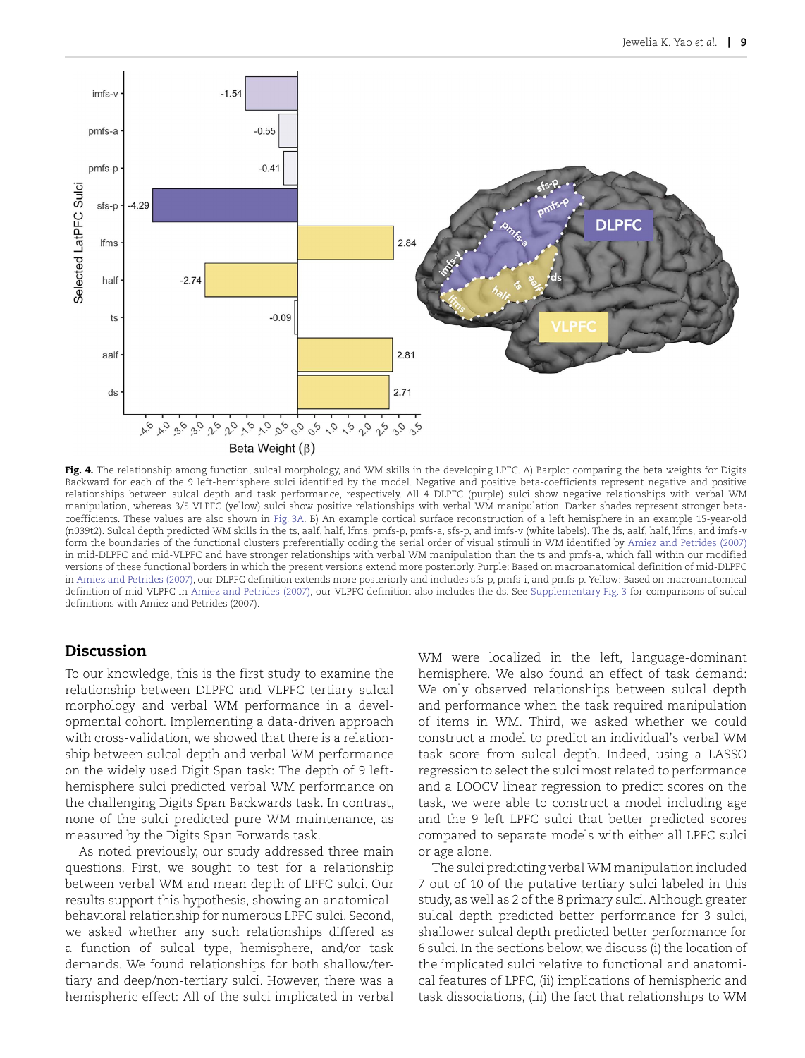

<span id="page-8-0"></span>**Fig. 4.** The relationship among function, sulcal morphology, and WM skills in the developing LPFC. A) Barplot comparing the beta weights for Digits Backward for each of the 9 left-hemisphere sulci identified by the model. Negative and positive beta-coefficients represent negative and positive relationships between sulcal depth and task performance, respectively. All 4 DLPFC (purple) sulci show negative relationships with verbal WM manipulation, whereas 3/5 VLPFC (yellow) sulci show positive relationships with verbal WM manipulation. Darker shades represent stronger betacoefficients. These values are also shown in [Fig. 3A.](#page-6-0) B) An example cortical surface reconstruction of a left hemisphere in an example 15-year-old (n039t2). Sulcal depth predicted WM skills in the ts, aalf, half, lfms, pmfs-p, pmfs-a, sfs-p, and imfs-v (white labels). The ds, aalf, half, lfms, and imfs-v form the boundaries of the functional clusters preferentially coding the serial order of visual stimuli in WM identified by [Amiez and Petrides \(2007\)](#page-11-8) in mid-DLPFC and mid-VLPFC and have stronger relationships with verbal WM manipulation than the ts and pmfs-a, which fall within our modified versions of these functional borders in which the present versions extend more posteriorly. Purple: Based on macroanatomical definition of mid-DLPFC in [Amiez and Petrides \(2007\),](#page-11-8) our DLPFC definition extends more posteriorly and includes sfs-p, pmfs-i, and pmfs-p. Yellow: Based on macroanatomical definition of mid-VLPFC in [Amiez and Petrides \(2007\)](#page-11-8), our VLPFC definition also includes the ds. See Supplementary Fig. 3 for comparisons of sulcal definitions with Amiez and Petrides (2007).

## **Discussion**

To our knowledge, this is the first study to examine the relationship between DLPFC and VLPFC tertiary sulcal morphology and verbal WM performance in a developmental cohort. Implementing a data-driven approach with cross-validation, we showed that there is a relationship between sulcal depth and verbal WM performance on the widely used Digit Span task: The depth of 9 lefthemisphere sulci predicted verbal WM performance on the challenging Digits Span Backwards task. In contrast, none of the sulci predicted pure WM maintenance, as measured by the Digits Span Forwards task.

As noted previously, our study addressed three main questions. First, we sought to test for a relationship between verbal WM and mean depth of LPFC sulci. Our results support this hypothesis, showing an anatomicalbehavioral relationship for numerous LPFC sulci. Second, we asked whether any such relationships differed as a function of sulcal type, hemisphere, and/or task demands. We found relationships for both shallow/tertiary and deep/non-tertiary sulci. However, there was a hemispheric effect: All of the sulci implicated in verbal

WM were localized in the left, language-dominant hemisphere. We also found an effect of task demand: We only observed relationships between sulcal depth and performance when the task required manipulation of items in WM. Third, we asked whether we could construct a model to predict an individual's verbal WM task score from sulcal depth. Indeed, using a LASSO regression to select the sulci most related to performance and a LOOCV linear regression to predict scores on the task, we were able to construct a model including age and the 9 left LPFC sulci that better predicted scores compared to separate models with either all LPFC sulci or age alone.

The sulci predicting verbal WM manipulation included 7 out of 10 of the putative tertiary sulci labeled in this study, as well as 2 of the 8 primary sulci. Although greater sulcal depth predicted better performance for 3 sulci, shallower sulcal depth predicted better performance for 6 sulci. In the sections below, we discuss (i) the location of the implicated sulci relative to functional and anatomical features of LPFC, (ii) implications of hemispheric and task dissociations, (iii) the fact that relationships to WM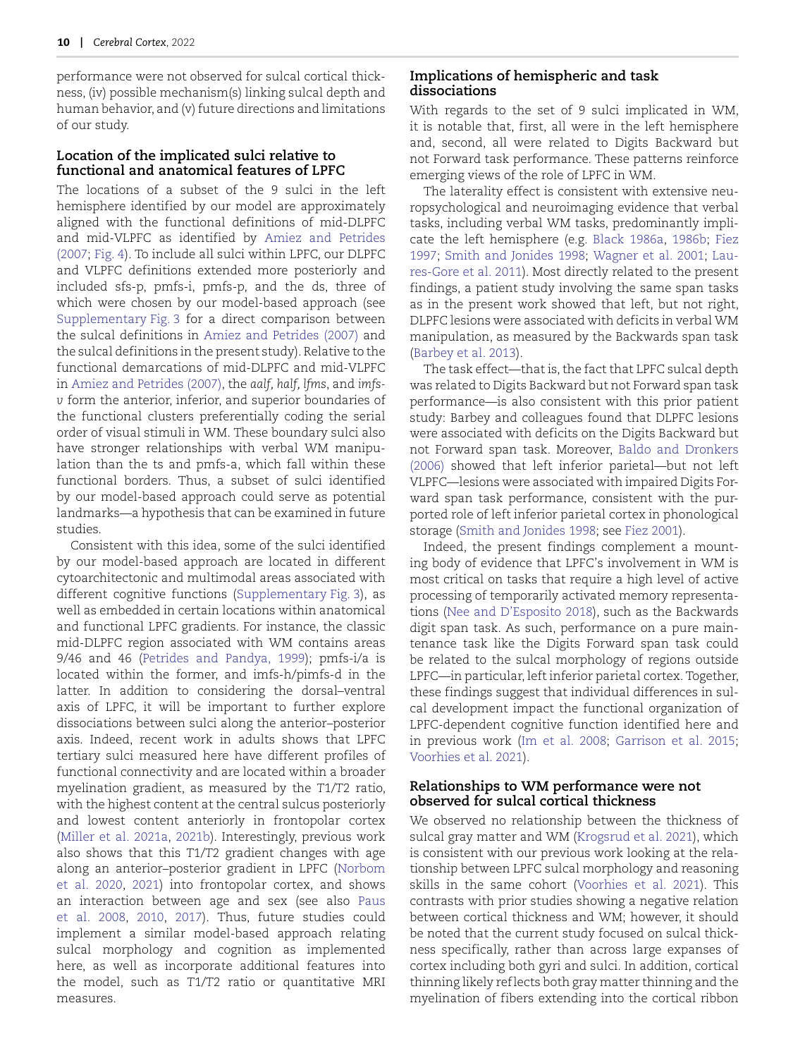performance were not observed for sulcal cortical thickness, (iv) possible mechanism(s) linking sulcal depth and human behavior, and (v) future directions and limitations of our study.

## **Location of the implicated sulci relative to functional and anatomical features of LPFC**

The locations of a subset of the 9 sulci in the left hemisphere identified by our model are approximately aligned with the functional definitions of mid-DLPFC and mid-VLPFC as identified by [Amiez and Petrides](#page-11-8) (2007; [Fig. 4](#page-8-0)). To include all sulci within LPFC, our DLPFC and VLPFC definitions extended more posteriorly and included sfs-p, pmfs-i, pmfs-p, and the ds, three of which were chosen by our model-based approach (see Supplementary Fig. 3 for a direct comparison between the sulcal definitions in [Amiez and Petrides \(2007](#page-11-8)) and the sulcal definitions in the present study). Relative to the functional demarcations of mid-DLPFC and mid-VLPFC in [Amiez and Petrides \(2007\)](#page-11-8), the *aalf, half, lfms*, and *imfsv* form the anterior, inferior, and superior boundaries of the functional clusters preferentially coding the serial order of visual stimuli in WM. These boundary sulci also have stronger relationships with verbal WM manipulation than the ts and pmfs-a, which fall within these functional borders. Thus, a subset of sulci identified by our model-based approach could serve as potential landmarks—a hypothesis that can be examined in future studies.

Consistent with this idea, some of the sulci identified by our model-based approach are located in different cytoarchitectonic and multimodal areas associated with different cognitive functions (Supplementary Fig. 3), as well as embedded in certain locations within anatomical and functional LPFC gradients. For instance, the classic mid-DLPFC region associated with WM contains areas 9/46 and 46 (Petrides and Pandya, 1999); pmfs-i/a is located within the former, and imfs-h/pimfs-d in the latter. In addition to considering the dorsal–ventral axis of LPFC, it will be important to further explore dissociations between sulci along the anterior–posterior axis. Indeed, recent work in adults shows that LPFC tertiary sulci measured here have different profiles of functional connectivity and are located within a broader myelination gradient, as measured by the *T*1/*T*2 ratio, with the highest content at the central sulcus posteriorly and lowest content anteriorly in frontopolar cortex ([Miller et al. 2021a](#page-13-8), [2021b](#page-13-9)). Interestingly, previous work also shows that this *T*1/*T*2 gradient changes with age along an anterior–posterior gradient in LPFC ([Norbom](#page-13-20) et al. 2020, [2021\)](#page-13-21) into frontopolar cortex, and shows an interaction between age and sex (see also Paus et al. 2008, [2010](#page-13-23), [2017\)](#page-13-24). Thus, future studies could implement a similar model-based approach relating sulcal morphology and cognition as implemented here, as well as incorporate additional features into the model, such as *T*1/*T*2 ratio or quantitative MRI measures.

## **Implications of hemispheric and task dissociations**

With regards to the set of 9 sulci implicated in WM, it is notable that, first, all were in the left hemisphere and, second, all were related to Digits Backward but not Forward task performance. These patterns reinforce emerging views of the role of LPFC in WM.

The laterality effect is consistent with extensive neuropsychological and neuroimaging evidence that verbal tasks, including verbal WM tasks, predominantly implicate the left hemisphere (e.g. [Black 1986a](#page-11-14), [1986b;](#page-11-15) [Fiez](#page-12-28) 1997; [Smith and Jonides 1998](#page-13-15); [Wagner et al. 2001](#page-14-10); [Lau](#page-12-29)res-Gore et al. 2011). Most directly related to the present findings, a patient study involving the same span tasks as in the present work showed that left, but not right, DLPFC lesions were associated with deficits in verbal WM manipulation, as measured by the Backwards span task [\(Barbey et al. 2013\)](#page-11-16).

The task effect—that is, the fact that LPFC sulcal depth was related to Digits Backward but not Forward span task performance—is also consistent with this prior patient study: Barbey and colleagues found that DLPFC lesions were associated with deficits on the Digits Backward but not Forward span task. Moreover, [Baldo and Dronkers](#page-11-7) (2006) showed that left inferior parietal—but not left VLPFC—lesions were associated with impaired Digits Forward span task performance, consistent with the purported role of left inferior parietal cortex in phonological storage [\(Smith and Jonides 1998;](#page-13-15) see [Fiez 2001](#page-12-30)).

Indeed, the present findings complement a mounting body of evidence that LPFC's involvement in WM is most critical on tasks that require a high level of active processing of temporarily activated memory representations ([Nee and D'Esposito 2018](#page-13-12)), such as the Backwards digit span task. As such, performance on a pure maintenance task like the Digits Forward span task could be related to the sulcal morphology of regions outside LPFC—in particular, left inferior parietal cortex. Together, these findings suggest that individual differences in sulcal development impact the functional organization of LPFC-dependent cognitive function identified here and in previous work ([Im et al. 2008](#page-12-31); [Garrison et al. 201](#page-12-32)5; [Voorhies et al. 2021\)](#page-14-9).

## **Relationships to WM performance were not observed for sulcal cortical thickness**

We observed no relationship between the thickness of sulcal gray matter and WM ([Krogsrud et al. 2021](#page-12-19)), which is consistent with our previous work looking at the relationship between LPFC sulcal morphology and reasoning skills in the same cohort [\(Voorhies et al. 202](#page-14-9)1). This [contra](#page-13-22)sts with prior studies showing a negative relation between cortical thickness and WM; however, it should be noted that the current study focused on sulcal thickness specifically, rather than across large expanses of cortex including both gyri and sulci. In addition, cortical thinning likely ref lects both gray matter thinning and the myelination of fibers extending into the cortical ribbon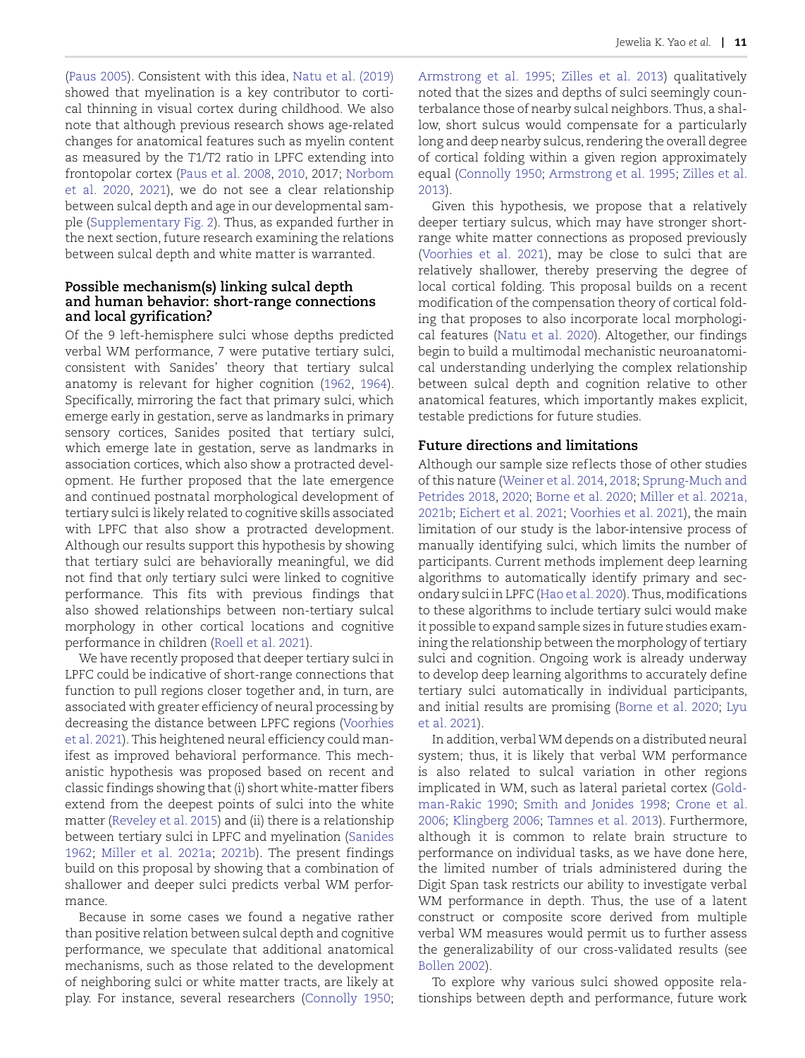[\(Paus 2005](#page-13-25)). Consistent with this idea, [Natu et al. \(2019\)](#page-13-26) showed that myelination is a key contributor to cortical thinning in visual cortex during childhood. We also note that although previous research shows age-related changes for anatomical features such as myelin content as measured by the *T*1/*T*2 ratio in LPFC extending into frontopolar cortex [\(Paus et al. 2008](#page-13-22), [2010,](#page-13-23) 2017; [Norbom](#page-13-20) et al. 2020, [2021](#page-13-21)), we do not see a clear relationship between sulcal depth and age in our developmental sample (Supplementary Fig. 2). Thus, as expanded further in the next section, future research examining the relations between sulcal depth and white matter is warranted.

#### **Possible mechanism(s) linking sulcal depth and human behavior: short-range connections and local gyrification?**

Of the 9 left-hemisphere sulci whose depths predicted verbal WM performance, 7 were putative tertiary sulci, consistent with Sanides' theory that tertiary sulcal anatomy is relevant for higher cognition ([1962,](#page-13-5) [1964](#page-13-6)). Specifically, mirroring the fact that primary sulci, which emerge early in gestation, serve as landmarks in primary sensory cortices, Sanides posited that tertiary sulci, which emerge late in gestation, serve as landmarks in association cortices, which also show a protracted development. He further proposed that the late emergence and continued postnatal morphological development of tertiary sulci is likely related to cognitive skills associated with LPFC that also show a protracted development. Although our results support this hypothesis by showing that tertiary sulci are behaviorally meaningful, we did not find that *only* tertiary sulci were linked to cognitive performance. This fits with previous findings that also showed relationships between non-tertiary sulcal morphology in other cortical locations and cognitive performance in children ([Roell et al. 2021](#page-13-27)).

We have recently proposed that deeper tertiary sulci in LPFC could be indicative of short-range connections that function to pull regions closer together and, in turn, are associated with greater efficiency of neural processing by decreasing the distance between LPFC regions ([Voorhies](#page-14-9) et al. 2021). This heightened neural efficiency could manifest as improved behavioral performance. This mechanistic hypothesis was proposed based on recent and classic findings showing that (i) short white-matter fibers extend from the deepest points of sulci into the white matter ([Reveley et al. 2015\)](#page-13-28) and (ii) there is a relationship between tertiary sulci in LPFC and myelination ([Sanides](#page-13-5) 1962; [Miller et al. 2021](#page-13-8)a; [2021b](#page-13-9)). The present findings build on this proposal by showing that a combination of shallower and deeper sulci predicts verbal WM performance.

Because in some cases we found a negative rather than positive relation between sulcal depth and cognitive performance, we speculate that additional anatomical mechanisms, such as those related to the development of neighboring sulci or white matter tracts, are likely at play. For instance, several researchers ([Connolly 1950](#page-12-25);

[Armstrong et al. 199](#page-11-2)5; [Zilles et al. 201](#page-14-6)3) qualitatively noted that the sizes and depths of sulci seemingly counterbalance those of nearby sulcal neighbors. Thus, a shallow, short sulcus would compensate for a particularly long and deep nearby sulcus, rendering the overall degree of cortical folding within a given region approximately equal [\(Connolly 1950;](#page-12-25) [Armstrong et al. 1995](#page-11-2); [Zilles et al.](#page-14-6) 2013).

Given this hypothesis, we propose that a relatively deeper tertiary sulcus, which may have stronger shortrange white matter connections as proposed previously [\(Voorhies et al. 202](#page-14-9)1), may be close to sulci that are relatively shallower, thereby preserving the degree of local cortical folding. This proposal builds on a recent modification of the compensation theory of cortical folding that proposes to also incorporate local morphological features ([Natu et al. 2020](#page-13-29)). Altogether, our findings begin to build a multimodal mechanistic neuroanatomical understanding underlying the complex relationship between sulcal depth and cognition relative to other anatomical features, which importantly makes explicit, testable predictions for future studies.

## **Future directions and limitations**

Although our sample size ref lects those of other studies of this nature ([Weiner et al. 2014,](#page-14-12) [2018](#page-14-13); [Sprung-Much and](#page-13-17) Petrides 2018, [2020](#page-13-18); [Borne et al. 2020](#page-11-9); [Miller et al. 2021a,](#page-13-9) 2021b; [Eichert et al. 2021](#page-12-17); [Voorhies et al. 2021](#page-14-9)), the main limitation of our study is the labor-intensive process of manually identifying sulci, which limits the number of participants. Current methods implement deep learning algorithms to automatically identify primary and sec-ondary sulci in LPFC ([Hao et al. 2020\)](#page-12-33). Thus, modifications to these algorithms to include tertiary sulci would make it possible to expand sample sizes in future studies examining the relationship between the morphology of tertiary sulci and cognition. Ongoing work is already underway to develop deep learning algorithms to accurately define tertiary sulci automatically in individual participants, and initial results are promising ([Borne et al. 2020](#page-11-9); [Lyu](#page-13-30) et al. 2021).

In addition, verbal WM depends on a distributed neural system; thus, it is likely that verbal WM performance is also related to sulcal variation in other regions implicated in WM, such as lateral parietal cortex [\(Gold](#page-12-34)man-Rakic 1990; [Smith and Jonides 199](#page-13-15)8; [Crone et al.](#page-12-16) 2006; [Klingberg 2006](#page-12-35); [Tamnes et al. 2013](#page-14-1)). Furthermore, although it is common to relate brain structure to performance on individual tasks, as we have done here, the limited number of trials administered during the Digit Span task restricts our ability to investigate verbal WM performance in depth. Thus, the use of a latent construct or composite score derived from multiple verbal WM measures would permit us to further assess the generalizability of our cross-validated results (see [Bollen 2002](#page-11-17)).

To explore why various sulci showed opposite relationships between depth and performance, future work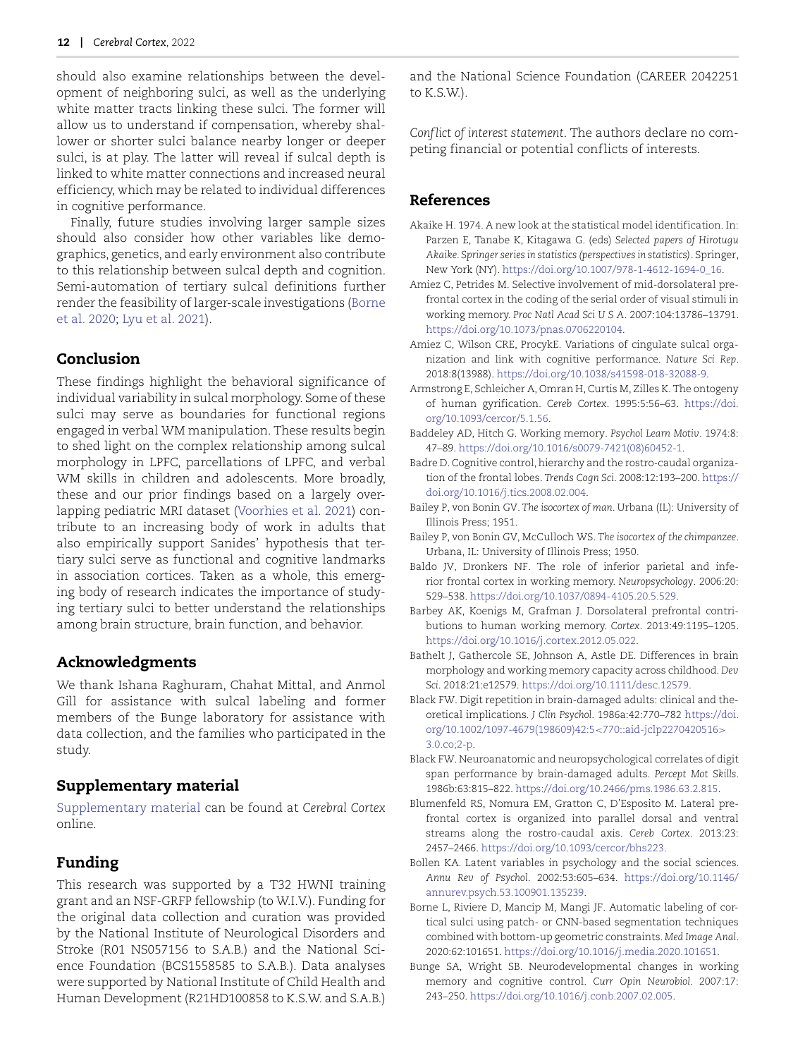should also examine relationships between the development of neighboring sulci, as well as the underlying white matter tracts linking these sulci. The former will allow us to understand if compensation, whereby shallower or shorter sulci balance nearby longer or deeper sulci, is at play. The latter will reveal if sulcal depth is linked to white matter connections and increased neural efficiency, which may be related to individual differences in cognitive performance.

Finally, future studies involving larger sample sizes should also consider how other variables like demographics, genetics, and early environment also contribute to this relationship between sulcal depth and cognition. Semi-automation of tertiary sulcal definitions further render the feasibility of larger-scale investigations [\(Borne](#page-11-9) et al. 2020; [Lyu et al. 2021\)](#page-13-30).

## **Conclusion**

These findings highlight the behavioral significance of individual variability in sulcal morphology. Some of these sulci may serve as boundaries for functional regions engaged in verbal WM manipulation. These results begin to shed light on the complex relationship among sulcal morphology in LPFC, parcellations of LPFC, and verbal WM skills in children and adolescents. More broadly, these and our prior findings based on a largely overlapping pediatric MRI dataset ([Voorhies et al. 2021](#page-14-9)) contribute to an increasing body of work in adults that also empirically support Sanides' hypothesis that tertiary sulci serve as functional and cognitive landmarks in association cortices. Taken as a whole, this emerging body of research indicates the importance of studying tertiary sulci to better understand the relationships among brain structure, brain function, and behavior.

#### **Acknowledgments**

We thank Ishana Raghuram, Chahat Mittal, and Anmol Gill for assistance with sulcal labeling and former members of the Bunge laboratory for assistance with data collection, and the families who participated in the study.

#### **Supplementary material**

[Supplementary material](https://academic.oup.com/cercor/article-lookup/doi/10.1093/cercor/bhac173#supplementary-data) can be found at *Cerebral Cortex* online.

## **Funding**

This research was supported by a T32 HWNI training grant and an NSF-GRFP fellowship (to W.I.V.). Funding for the original data collection and curation was provided by the National Institute of Neurological Disorders and Stroke (R01 NS057156 to S.A.B.) and the National Science Foundation (BCS1558585 to S.A.B.). Data analyses were supported by National Institute of Child Health and Human Development (R21HD100858 to K.S.W. and S.A.B.) and the National Science Foundation (CAREER 2042251 to K.S.W.).

*Conflict of interest statement*. The authors declare no competing financial or potential conflicts of interests.

#### **References**

- <span id="page-11-12"></span>Akaike H. 1974. A new look at the statistical model identification. In: Parzen E, Tanabe K, Kitagawa G. (eds) *Selected papers of Hirotugu Akaike. Springer series in statistics (perspectives in statistics)*. Springer, New York (NY). [https://doi.org/10.1007/978-1-4612-1694-0\\_16.](https://doi.org/10.1007/978-1-4612-1694-0_16)
- <span id="page-11-8"></span>Amiez C, Petrides M. Selective involvement of mid-dorsolateral prefrontal cortex in the coding of the serial order of visual stimuli in working memory. *Proc Natl Acad Sci U S A*. 2007:104:13786–13791. [https://doi.org/10.1073/pnas.0706220104.](https://doi.org/10.1073/pnas.0706220104)
- <span id="page-11-1"></span>Amiez C, Wilson CRE, ProcykE. Variations of cingulate sulcal organization and link with cognitive performance. *Nature Sci Rep*. 2018:8(13988). [https://doi.org/10.1038/s41598-018-32088-9.](https://doi.org/10.1038/s41598-018-32088-9)
- <span id="page-11-2"></span>Armstrong E, Schleicher A, Omran H, Curtis M, Zilles K. The ontogeny of human gyrification. *Cereb Cortex*. 1995:5:56–63. [https://doi.](https://doi.org/10.1093/cercor/5.1.56) [org/10.1093/cercor/5.1.56.](https://doi.org/10.1093/cercor/5.1.56)
- <span id="page-11-3"></span>Baddeley AD, Hitch G. Working memory. *Psychol Learn Motiv*. 1974:8: 47–89. [https://doi.org/10.1016/s0079-7421\(08\)60452-1.](https://doi.org/10.1016/s0079-7421(08)60452-1)
- <span id="page-11-5"></span>Badre D. Cognitive control, hierarchy and the rostro-caudal organization of the frontal lobes. *Trends Cogn Sci*. 2008:12:193–200. [https://](https://doi.org/10.1016/j.tics.2008.02.004) [doi.org/10.1016/j.tics.2008.02.004.](https://doi.org/10.1016/j.tics.2008.02.004)
- <span id="page-11-11"></span>Bailey P, von Bonin GV. *The isocortex of man*. Urbana (IL): University of Illinois Press; 1951.
- <span id="page-11-10"></span>Bailey P, von Bonin GV, McCulloch WS. *The isocortex of the chimpanzee*. Urbana, IL: University of Illinois Press; 1950.
- <span id="page-11-7"></span>Baldo JV, Dronkers NF. The role of inferior parietal and inferior frontal cortex in working memory. *Neuropsychology*. 2006:20: 529–538. [https://doi.org/10.1037/0894-4105.20.5.529.](https://doi.org/10.1037/0894-4105.20.5.529)
- <span id="page-11-16"></span>Barbey AK, Koenigs M, Grafman J. Dorsolateral prefrontal contributions to human working memory. *Cortex*. 2013:49:1195–1205. [https://doi.org/10.1016/j.cortex.2012.05.022.](https://doi.org/10.1016/j.cortex.2012.05.022)
- <span id="page-11-0"></span>Bathelt J, Gathercole SE, Johnson A, Astle DE. Differences in brain morphology and working memory capacity across childhood. *Dev Sci*. 2018:21:e12579. [https://doi.org/10.1111/desc.12579.](https://doi.org/10.1111/desc.12579)
- <span id="page-11-14"></span>Black FW. Digit repetition in brain-damaged adults: clinical and theoretical implications. *J Clin Psychol*. 1986a:42:770–782 https://doi. [org/10.1002/1097-4679\(198609\)42:5](http://dx.doi.org/10.1002/1097-4679(198609)42:5%3c770::aid-jclp2270420516%3e3.0.co;2-p)*<*770::aid-jclp2270420516*>* 3.0.co;2-p.
- <span id="page-11-15"></span>Black FW. Neuroanatomic and neuropsychological correlates of digit span performance by brain-damaged adults. *Percept Mot Skills*. 1986b:63:815–822. [https://doi.org/10.2466/pms.1986.63.2.815.](https://doi.org/10.2466/pms.1986.63.2.815)
- <span id="page-11-6"></span>Blumenfeld RS, Nomura EM, Gratton C, D'Esposito M. Lateral prefrontal cortex is organized into parallel dorsal and ventral streams along the rostro-caudal axis. *Cereb Cortex*. 2013:23: 2457–2466. [https://doi.org/10.1093/cercor/bhs223.](https://doi.org/10.1093/cercor/bhs223)
- <span id="page-11-17"></span>Bollen KA. Latent variables in psychology and the social sciences. *Annu Rev of Psychol*. 2002:53:605–634. [https://doi.org/10.1146/](https://doi.org/10.1146/annurev.psych.53.100901.135239) [annurev.psych.53.100901.135239.](https://doi.org/10.1146/annurev.psych.53.100901.135239)
- <span id="page-11-9"></span>Borne L, Riviere D, Mancip M, Mangi JF. Automatic labeling of cortical sulci using patch- or CNN-based segmentation techniques combined with bottom-up geometric constraints. *Med Image Anal*. 2020:62:101651. [https://doi.org/10.1016/j.media.2020.101651.](https://doi.org/10.1016/j.media.2020.101651)
- <span id="page-11-13"></span><span id="page-11-4"></span>Bunge SA, Wright SB. Neurodevelopmental changes in working memory and cognitive control. *Curr Opin Neurobiol*. 2007:17: 243–250. [https://doi.org/10.1016/j.conb.2007.02.005.](https://doi.org/10.1016/j.conb.2007.02.005)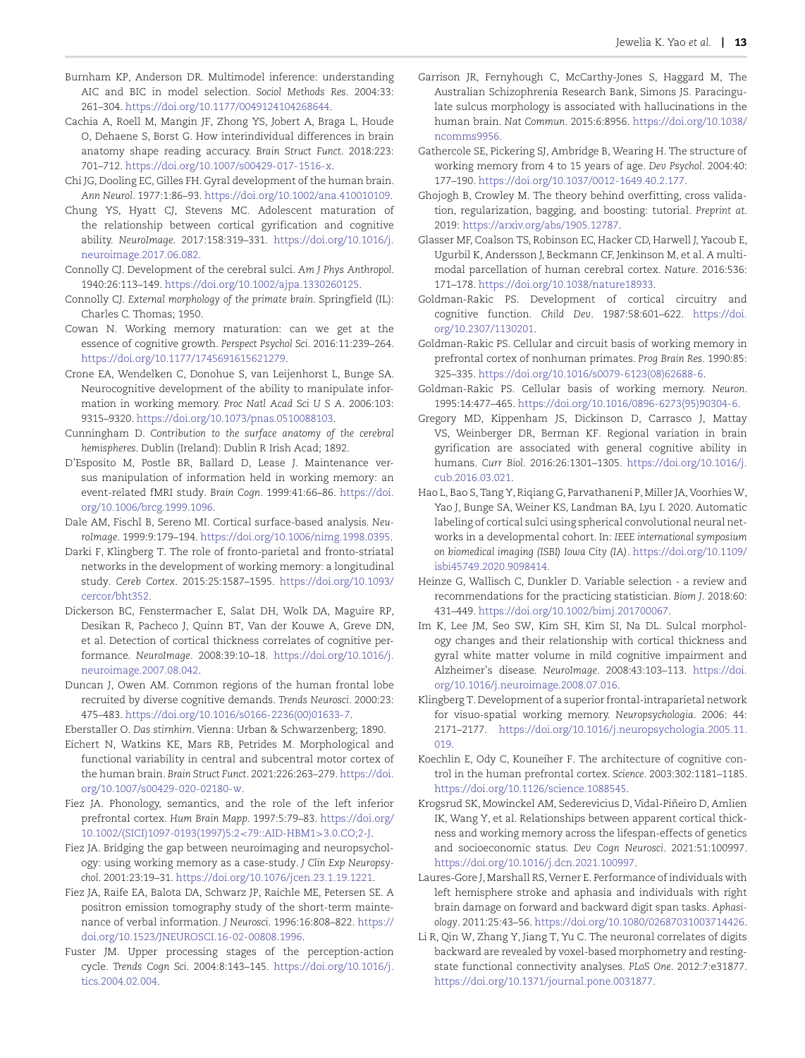- Burnham KP, Anderson DR. Multimodel inference: understanding AIC and BIC in model selection. *Sociol Methods Res*. 2004:33: 261–304. [https://doi.org/10.1177/0049124104268644.](https://doi.org/10.1177/0049124104268644)
- <span id="page-12-4"></span>Cachia A, Roell M, Mangin JF, Zhong YS, Jobert A, Braga L, Houde O, Dehaene S, Borst G. How interindividual differences in brain anatomy shape reading accuracy. *Brain Struct Funct*. 2018:223: 701–712. [https://doi.org/10.1007/s00429-017-1516-x.](https://doi.org/10.1007/s00429-017-1516-x)
- <span id="page-12-5"></span>Chi JG, Dooling EC, Gilles FH. Gyral development of the human brain. *Ann Neurol*. 1977:1:86–93. [https://doi.org/10.1002/ana.410010109.](https://doi.org/10.1002/ana.410010109)
- <span id="page-12-3"></span>Chung YS, Hyatt CJ, Stevens MC. Adolescent maturation of the relationship between cortical gyrification and cognitive ability. *NeuroImage*. 2017:158:319–331. [https://doi.org/10.1016/j.](https://doi.org/10.1016/j.neuroimage.2017.06.082) [neuroimage.2017.06.082.](https://doi.org/10.1016/j.neuroimage.2017.06.082)
- <span id="page-12-24"></span>Connolly CJ. Development of the cerebral sulci. *Am J Phys Anthropol*. 1940:26:113–149. [https://doi.org/10.1002/ajpa.1330260125.](https://doi.org/10.1002/ajpa.1330260125)
- <span id="page-12-25"></span>Connolly CJ. *External morphology of the primate brain*. Springfield (IL): Charles C. Thomas; 1950.
- <span id="page-12-11"></span>Cowan N. Working memory maturation: can we get at the essence of cognitive growth. *Perspect Psychol Sci*. 2016:11:239–264. [https://doi.org/10.1177/1745691615621279.](https://doi.org/10.1177/1745691615621279)
- <span id="page-12-16"></span>Crone EA, Wendelken C, Donohue S, van Leijenhorst L, Bunge SA. Neurocognitive development of the ability to manipulate information in working memory. *Proc Natl Acad Sci U S A*. 2006:103: 9315–9320. [https://doi.org/10.1073/pnas.0510088103.](https://doi.org/10.1073/pnas.0510088103)
- <span id="page-12-23"></span>Cunningham D. *Contribution to the surface anatomy of the cerebral hemispheres*. Dublin (Ireland): Dublin R Irish Acad; 1892.
- <span id="page-12-13"></span>D'Esposito M, Postle BR, Ballard D, Lease J. Maintenance versus manipulation of information held in working memory: an event-related fMRI study. *Brain Cogn*. 1999:41:66–86. [https://doi.](https://doi.org/10.1006/brcg.1999.1096) [org/10.1006/brcg.1999.1096.](https://doi.org/10.1006/brcg.1999.1096)
- <span id="page-12-20"></span>Dale AM, Fischl B, Sereno MI. Cortical surface-based analysis. *NeuroImage*. 1999:9:179–194. [https://doi.org/10.1006/nimg.1998.0395.](http://dx.doi.org/10.1006/nimg.1998.0395)
- <span id="page-12-1"></span>Darki F, Klingberg T. The role of fronto-parietal and fronto-striatal networks in the development of working memory: a longitudinal study. *Cereb Cortex*. 2015:25:1587–1595. [https://doi.org/10.1093/](https://doi.org/10.1093/cercor/bht352) [cercor/bht352.](https://doi.org/10.1093/cercor/bht352)
- <span id="page-12-0"></span>Dickerson BC, Fenstermacher E, Salat DH, Wolk DA, Maguire RP, Desikan R, Pacheco J, Quinn BT, Van der Kouwe A, Greve DN, et al. Detection of cortical thickness correlates of cognitive performance. *NeuroImage*. 2008:39:10–18. [https://doi.org/10.1016/j.](https://doi.org/10.1016/j.neuroimage.2007.08.042) [neuroimage.2007.08.042.](https://doi.org/10.1016/j.neuroimage.2007.08.042)
- <span id="page-12-6"></span>Duncan J, Owen AM. Common regions of the human frontal lobe recruited by diverse cognitive demands. *Trends Neurosci*. 2000:23: 475–483. [https://doi.org/10.1016/s0166-2236\(00\)01633-7.](https://doi.org/10.1016/s0166-2236(00)01633-7)
- <span id="page-12-22"></span>Eberstaller O. *Das stirnhirn*. Vienna: Urban & Schwarzenberg; 1890.
- <span id="page-12-17"></span>Eichert N, Watkins KE, Mars RB, Petrides M. Morphological and functional variability in central and subcentral motor cortex of the human brain. *Brain Struct Funct*. 2021:226:263–279. [https://doi.](https://doi.org/10.1007/s00429-020-02180-w) [org/10.1007/s00429-020-02180-w.](https://doi.org/10.1007/s00429-020-02180-w)
- <span id="page-12-28"></span>Fiez JA. Phonology, semantics, and the role of the left inferior prefrontal cortex. *Hum Brain Mapp*. 1997:5:79–83. https://doi.org/ [10.1002/\(SICI\)1097-0193\(1997\)5:2](https://doi.org/10.1002/(SICI)1097-0193(1997)5:2%3C;79::AID-HBM1%3E;3.0.CO;2-J)*<*79::AID-HBM1*>*3.0.CO;2-J.
- <span id="page-12-30"></span>Fiez JA. Bridging the gap between neuroimaging and neuropsychology: using working memory as a case-study. *J Clin Exp Neuropsychol*. 2001:23:19–31. [https://doi.org/10.1076/jcen.23.1.19.1221.](https://doi.org/10.1076/jcen.23.1.19.1221)
- <span id="page-12-8"></span>Fiez JA, Raife EA, Balota DA, Schwarz JP, Raichle ME, Petersen SE. A positron emission tomography study of the short-term maintenance of verbal information. *J Neurosci*. 1996:16:808–822. [https://](https://doi.org/10.1523/JNEUROSCI.16-02-00808.1996) [doi.org/10.1523/JNEUROSCI.16-02-00808.1996.](https://doi.org/10.1523/JNEUROSCI.16-02-00808.1996)
- <span id="page-12-32"></span><span id="page-12-15"></span>Fuster JM. Upper processing stages of the perception-action cycle. *Trends Cogn Sci*. 2004:8:143–145. [https://doi.org/10.1016/j.](https://doi.org/10.1016/j.tics.2004.02.004) [tics.2004.02.004.](https://doi.org/10.1016/j.tics.2004.02.004)
- Garrison JR, Fernyhough C, McCarthy-Jones S, Haggard M, The Australian Schizophrenia Research Bank, Simons JS. Paracingulate sulcus morphology is associated with hallucinations in the human brain. *Nat Commun*. 2015:6:8956. [https://doi.org/10.1038/](https://doi.org/10.1038/ncomms9956) [ncomms9956.](https://doi.org/10.1038/ncomms9956)
- <span id="page-12-10"></span>Gathercole SE, Pickering SJ, Ambridge B, Wearing H. The structure of working memory from 4 to 15 years of age. *Dev Psychol*. 2004:40: 177–190. [https://doi.org/10.1037/0012-1649.40.2.177.](https://doi.org/10.1037/0012-1649.40.2.177)
- <span id="page-12-27"></span>Ghojogh B, Crowley M. The theory behind overfitting, cross validation, regularization, bagging, and boosting: tutorial. *Preprint at*. 2019: [https://arxiv.org/abs/1905.12787.](https://arxiv.org/abs/1905.12787)
- <span id="page-12-21"></span>Glasser MF, Coalson TS, Robinson EC, Hacker CD, Harwell J, Yacoub E, Ugurbil K, Andersson J, Beckmann CF, Jenkinson M, et al. A multimodal parcellation of human cerebral cortex. *Nature*. 2016:536: 171–178. [https://doi.org/10.1038/nature18933.](https://doi.org/10.1038/nature18933)
- <span id="page-12-12"></span>Goldman-Rakic PS. Development of cortical circuitry and cognitive function. *Child Dev*. 1987:58:601–622. [https://doi.](https://doi.org/10.2307/1130201) [org/10.2307/1130201.](https://doi.org/10.2307/1130201)
- <span id="page-12-34"></span>Goldman-Rakic PS. Cellular and circuit basis of working memory in prefrontal cortex of nonhuman primates. *Prog Brain Res*. 1990:85: 325–335. [https://doi.org/10.1016/s0079-6123\(08\)62688-6.](https://doi.org/10.1016/s0079-6123(08)62688-6)
- <span id="page-12-9"></span>Goldman-Rakic PS. Cellular basis of working memory. *Neuron*. 1995:14:477–465. [https://doi.org/10.1016/0896-6273\(95\)90304-6.](https://doi.org/10.1016/0896-6273(95)90304-6)
- <span id="page-12-2"></span>Gregory MD, Kippenham JS, Dickinson D, Carrasco J, Mattay VS, Weinberger DR, Berman KF. Regional variation in brain gyrification are associated with general cognitive ability in humans. *Curr Biol*. 2016:26:1301–1305. [https://doi.org/10.1016/j.](https://doi.org/10.1016/j.cub.2016.03.021) [cub.2016.03.021.](https://doi.org/10.1016/j.cub.2016.03.021)
- <span id="page-12-33"></span>Hao L, Bao S, Tang Y, Riqiang G, Parvathaneni P, Miller JA, Voorhies W, Yao J, Bunge SA, Weiner KS, Landman BA, Lyu I. 2020. Automatic labeling of cortical sulci using spherical convolutional neural networks in a developmental cohort. In: *IEEE international symposium on biomedical imaging (ISBI) Iowa City (IA)*. [https://doi.org/10.1109/](https://doi.org/10.1109/isbi45749.2020.9098414) [isbi45749.2020.9098414.](https://doi.org/10.1109/isbi45749.2020.9098414)
- <span id="page-12-26"></span>Heinze G, Wallisch C, Dunkler D. Variable selection - a review and recommendations for the practicing statistician. *Biom J*. 2018:60: 431–449. [https://doi.org/10.1002/bimj.201700067.](https://doi.org/10.1002/bimj.201700067)
- <span id="page-12-31"></span>Im K, Lee JM, Seo SW, Kim SH, Kim SI, Na DL. Sulcal morphology changes and their relationship with cortical thickness and gyral white matter volume in mild cognitive impairment and Alzheimer's disease. *NeuroImage*. 2008:43:103–113. [https://doi.](https://doi.org/10.1016/j.neuroimage.2008.07.016) [org/10.1016/j.neuroimage.2008.07.016.](https://doi.org/10.1016/j.neuroimage.2008.07.016)
- <span id="page-12-35"></span>Klingberg T. Development of a superior frontal-intraparietal network for visuo-spatial working memory. *Neuropsychologia*. 2006: 44: 2171–2177. [https://doi.org/10.1016/j.neuropsychologia.2005.11.](http://dx.doi.org/10.1016/j.neuropsychologia.2005.11.019) 019.
- <span id="page-12-14"></span>Koechlin E, Ody C, Kouneiher F. The architecture of cognitive control in the human prefrontal cortex. *Science*. 2003:302:1181–1185. [https://doi.org/10.1126/science.1088545.](https://doi.org/10.1126/science.1088545)
- <span id="page-12-19"></span>Krogsrud SK, Mowinckel AM, Sederevicius D, Vidal-Piñeiro D, Amlien IK, Wang Y, et al. Relationships between apparent cortical thickness and working memory across the lifespan-effects of genetics and socioeconomic status. *Dev Cogn Neurosci*. 2021:51:100997. [https://doi.org/10.1016/j.dcn.2021.100997.](https://doi.org/10.1016/j.dcn.2021.100997)
- <span id="page-12-29"></span>Laures-Gore J, Marshall RS, Verner E. Performance of individuals with left hemisphere stroke and aphasia and individuals with right brain damage on forward and backward digit span tasks. *Aphasiology*. 2011:25:43–56. [https://doi.org/10.1080/02687031003714426.](https://doi.org/10.1080/02687031003714426)
- <span id="page-12-18"></span><span id="page-12-7"></span>Li R, Qin W, Zhang Y, Jiang T, Yu C. The neuronal correlates of digits backward are revealed by voxel-based morphometry and restingstate functional connectivity analyses. *PLoS One*. 2012:7:e31877. [https://doi.org/10.1371/journal.pone.0031877.](https://doi.org/10.1371/journal.pone.0031877)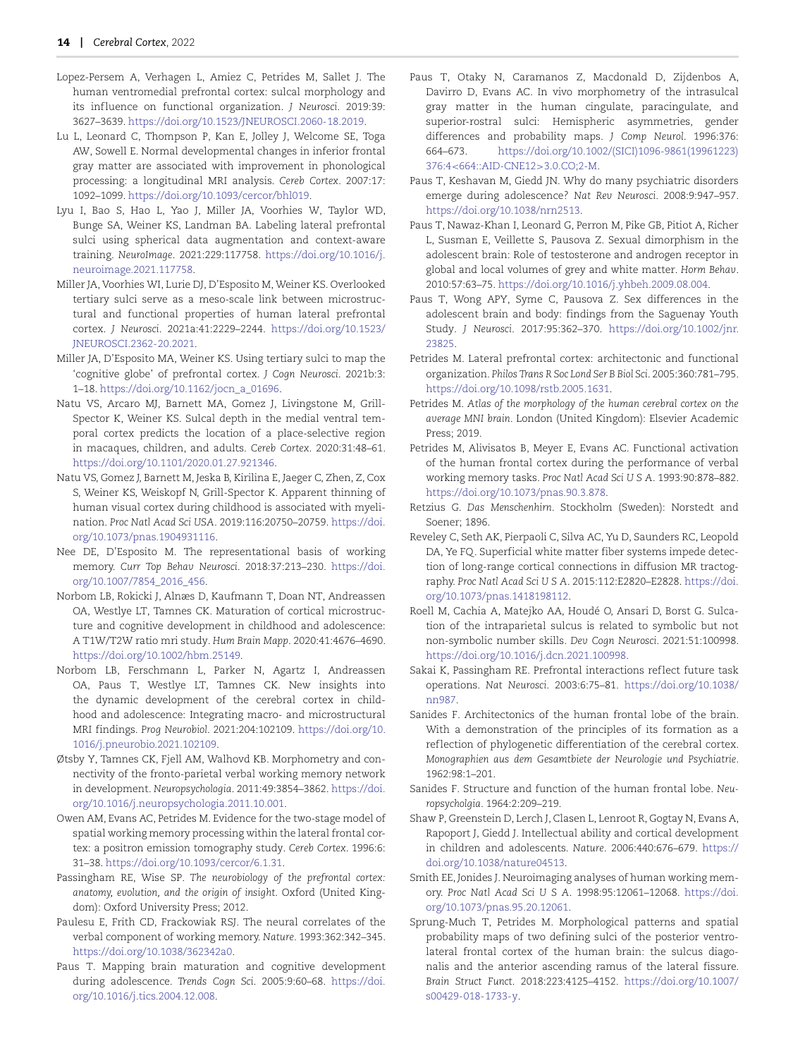- Lopez-Persem A, Verhagen L, Amiez C, Petrides M, Sallet J. The human ventromedial prefrontal cortex: sulcal morphology and its inf luence on functional organization. *J Neurosci*. 2019:39: 3627–3639. [https://doi.org/10.1523/JNEUROSCI.2060-18.2019.](https://doi.org/10.1523/JNEUROSCI.2060-18.2019)
- <span id="page-13-1"></span>Lu L, Leonard C, Thompson P, Kan E, Jolley J, Welcome SE, Toga AW, Sowell E. Normal developmental changes in inferior frontal gray matter are associated with improvement in phonological processing: a longitudinal MRI analysis. *Cereb Cortex*. 2007:17: 1092–1099. [https://doi.org/10.1093/cercor/bhl019.](https://doi.org/10.1093/cercor/bhl019)
- <span id="page-13-30"></span>Lyu I, Bao S, Hao L, Yao J, Miller JA, Voorhies W, Taylor WD, Bunge SA, Weiner KS, Landman BA. Labeling lateral prefrontal sulci using spherical data augmentation and context-aware training. *NeuroImage*. 2021:229:117758. [https://doi.org/10.1016/j.](https://doi.org/10.1016/j.neuroimage.2021.117758) [neuroimage.2021.117758.](https://doi.org/10.1016/j.neuroimage.2021.117758)
- <span id="page-13-8"></span>Miller JA, Voorhies WI, Lurie DJ, D'Esposito M, Weiner KS. Overlooked tertiary sulci serve as a meso-scale link between microstructural and functional properties of human lateral prefrontal cortex. *J Neurosci*. 2021a:41:2229–2244. [https://doi.org/10.1523/](https://doi.org/10.1523/JNEUROSCI.2362-20.2021) [JNEUROSCI.2362-20.2021.](https://doi.org/10.1523/JNEUROSCI.2362-20.2021)
- <span id="page-13-9"></span>Miller JA, D'Esposito MA, Weiner KS. Using tertiary sulci to map the 'cognitive globe' of prefrontal cortex. *J Cogn Neurosci*. 2021b:3: 1–18. [https://doi.org/10.1162/jocn\\_a\\_01696.](https://doi.org/10.1162/jocn_a_01696)
- <span id="page-13-29"></span>Natu VS, Arcaro MJ, Barnett MA, Gomez J, Livingstone M, Grill-Spector K, Weiner KS. Sulcal depth in the medial ventral temporal cortex predicts the location of a place-selective region in macaques, children, and adults. *Cereb Cortex*. 2020:31:48–61. [https://doi.org/10.1101/2020.01.27.921346.](https://doi.org/10.1101/2020.01.27.921346)
- <span id="page-13-26"></span>Natu VS, Gomez J, Barnett M, Jeska B, Kirilina E, Jaeger C, Zhen, Z, Cox S, Weiner KS, Weiskopf N, Grill-Spector K. Apparent thinning of human visual cortex during childhood is associated with myelination. *Proc Natl Acad Sci USA*. 2019:116:20750–20759. [https://doi.](https://doi.org/10.1073/pnas.1904931116) [org/10.1073/pnas.1904931116.](https://doi.org/10.1073/pnas.1904931116)
- <span id="page-13-12"></span>Nee DE, D'Esposito M. The representational basis of working memory. *Curr Top Behav Neurosci*. 2018:37:213–230. [https://doi.](https://doi.org/10.1007/7854_2016_456) [org/10.1007/7854\\_2016\\_456.](https://doi.org/10.1007/7854_2016_456)
- <span id="page-13-20"></span>Norbom LB, Rokicki J, Alnæs D, Kaufmann T, Doan NT, Andreassen OA, Westlye LT, Tamnes CK. Maturation of cortical microstructure and cognitive development in childhood and adolescence: A T1W/T2W ratio mri study. *Hum Brain Mapp*. 2020:41:4676–4690. [https://doi.org/10.1002/hbm.25149.](https://doi.org/10.1002/hbm.25149)
- <span id="page-13-21"></span>Norbom LB, Ferschmann L, Parker N, Agartz I, Andreassen OA, Paus T, Westlye LT, Tamnes CK. New insights into the dynamic development of the cerebral cortex in childhood and adolescence: Integrating macro- and microstructural MRI findings. *Prog Neurobiol*. 2021:204:102109. https://doi.org/10. [1016/j.pneurobio.2021.102109.](https://doi.org/10.&break;1016/j.pneurobio.2021.102109)
- <span id="page-13-2"></span>Øtsby Y, Tamnes CK, Fjell AM, Walhovd KB. Morphometry and connectivity of the fronto-parietal verbal working memory network in development. *Neuropsychologia*. 2011:49:3854–3862. [https://doi.](https://doi.org/10.1016/j.neuropsychologia.2011.10.001) [org/10.1016/j.neuropsychologia.2011.10.001.](https://doi.org/10.1016/j.neuropsychologia.2011.10.001)
- <span id="page-13-13"></span>Owen AM, Evans AC, Petrides M. Evidence for the two-stage model of spatial working memory processing within the lateral frontal cortex: a positron emission tomography study. *Cereb Cortex*. 1996:6: 31–38. [https://doi.org/10.1093/cercor/6.1.31.](https://doi.org/10.1093/cercor/6.1.31)
- <span id="page-13-7"></span>Passingham RE, Wise SP. *The neurobiology of the prefrontal cortex: anatomy, evolution, and the origin of insight*. Oxford (United Kingdom): Oxford University Press; 2012.
- <span id="page-13-10"></span>Paulesu E, Frith CD, Frackowiak RSJ. The neural correlates of the verbal component of working memory. *Nature*. 1993:362:342–345. [https://doi.org/10.1038/362342a0.](https://doi.org/10.1038/362342a0)
- <span id="page-13-25"></span><span id="page-13-3"></span>Paus T. Mapping brain maturation and cognitive development during adolescence. *Trends Cogn Sci*. 2005:9:60–68. [https://doi.](https://doi.org/10.1016/j.tics.2004.12.008) [org/10.1016/j.tics.2004.12.008.](https://doi.org/10.1016/j.tics.2004.12.008)
- Paus T, Otaky N, Caramanos Z, Macdonald D, Zijdenbos A, Davirro D, Evans AC. In vivo morphometry of the intrasulcal gray matter in the human cingulate, paracingulate, and superior-rostral sulci: Hemispheric asymmetries, gender differences and probability maps. *J Comp Neurol*. 1996:376: 664–673. [https://doi.org/10.1002/\(SICI\)1096-9861\(19961223\)](https://doi.org/10.1002/(SICI)1096-9861(19961223)376:4%3C;664::AID-CNE12%3E;3.0.CO;2-M) 376:4*<*664::AID-CNE12*>*3.0.CO;2-M.
- <span id="page-13-22"></span>Paus T, Keshavan M, Giedd JN. Why do many psychiatric disorders emerge during adolescence? *Nat Rev Neurosci*. 2008:9:947–957. [https://doi.org/10.1038/nrn2513.](https://doi.org/10.1038/nrn2513)
- <span id="page-13-23"></span>Paus T, Nawaz-Khan I, Leonard G, Perron M, Pike GB, Pitiot A, Richer L, Susman E, Veillette S, Pausova Z. Sexual dimorphism in the adolescent brain: Role of testosterone and androgen receptor in global and local volumes of grey and white matter. *Horm Behav*. 2010:57:63–75. [https://doi.org/10.1016/j.yhbeh.2009.08.004.](https://doi.org/10.1016/j.yhbeh.2009.08.004)
- <span id="page-13-24"></span>Paus T, Wong APY, Syme C, Pausova Z. Sex differences in the adolescent brain and body: findings from the Saguenay Youth Study. *J Neurosci*. 2017:95:362–370. [https://doi.org/10.1002/jnr.](https://doi.org/10.1002/jnr.23825) 23825.
- <span id="page-13-14"></span>Petrides M. Lateral prefrontal cortex: architectonic and functional organization. *Philos Trans R Soc Lond Ser B Biol Sci*. 2005:360:781–795. [https://doi.org/10.1098/rstb.2005.1631.](https://doi.org/10.1098/rstb.2005.1631)
- <span id="page-13-4"></span>Petrides M. *Atlas of the morphology of the human cerebral cortex on the average MNI brain*. London (United Kingdom): Elsevier Academic Press; 2019.
- <span id="page-13-11"></span>Petrides M, Alivisatos B, Meyer E, Evans AC. Functional activation of the human frontal cortex during the performance of verbal working memory tasks. *Proc Natl Acad Sci U S A*. 1993:90:878–882. [https://doi.org/10.1073/pnas.90.3.878.](https://doi.org/10.1073/pnas.90.3.878)
- <span id="page-13-19"></span>Retzius G. *Das Menschenhirn*. Stockholm (Sweden): Norstedt and Soener; 1896.
- <span id="page-13-28"></span>Reveley C, Seth AK, Pierpaoli C, Silva AC, Yu D, Saunders RC, Leopold DA, Ye FQ. Superficial white matter fiber systems impede detection of long-range cortical connections in diffusion MR tractography. *Proc Natl Acad Sci U S A*. 2015:112:E2820–E2828. [https://doi.](https://doi.org/10.1073/pnas.1418198112) [org/10.1073/pnas.1418198112.](https://doi.org/10.1073/pnas.1418198112)
- <span id="page-13-27"></span>Roell M, Cachia A, Matejko AA, Houdé O, Ansari D, Borst G. Sulcation of the intraparietal sulcus is related to symbolic but not non-symbolic number skills. *Dev Cogn Neurosci*. 2021:51:100998. [https://doi.org/10.1016/j.dcn.2021.100998.](https://doi.org/10.1016/j.dcn.2021.100998)
- <span id="page-13-16"></span>Sakai K, Passingham RE. Prefrontal interactions reflect future task operations. *Nat Neurosci*. 2003:6:75–81. [https://doi.org/10.1038/](https://doi.org/10.1038/nn987) [nn987.](https://doi.org/10.1038/nn987)
- <span id="page-13-5"></span>Sanides F. Architectonics of the human frontal lobe of the brain. With a demonstration of the principles of its formation as a reflection of phylogenetic differentiation of the cerebral cortex. *Monographien aus dem Gesamtbiete der Neurologie und Psychiatrie*. 1962:98:1–201.
- <span id="page-13-6"></span>Sanides F. Structure and function of the human frontal lobe. *Neuropsycholgia*. 1964:2:209–219.
- <span id="page-13-0"></span>Shaw P, Greenstein D, Lerch J, Clasen L, Lenroot R, Gogtay N, Evans A, Rapoport J, Giedd J. Intellectual ability and cortical development in children and adolescents. *Nature*. 2006:440:676–679. [https://](https://doi.org/10.1038/nature04513) [doi.org/10.1038/nature04513.](https://doi.org/10.1038/nature04513)
- <span id="page-13-15"></span>Smith EE, Jonides J. Neuroimaging analyses of human working memory. *Proc Natl Acad Sci U S A*. 1998:95:12061–12068. [https://doi.](https://doi.org/10.1073/pnas.95.20.12061) [org/10.1073/pnas.95.20.12061.](https://doi.org/10.1073/pnas.95.20.12061)
- <span id="page-13-18"></span><span id="page-13-17"></span>Sprung-Much T, Petrides M. Morphological patterns and spatial probability maps of two defining sulci of the posterior ventrolateral frontal cortex of the human brain: the sulcus diagonalis and the anterior ascending ramus of the lateral fissure. *Brain Struct Funct*. 2018:223:4125–4152. [https://doi.org/10.1007/](https://doi.org/10.1007/s00429-018-1733-y) [s00429-018-1733-y.](https://doi.org/10.1007/s00429-018-1733-y)